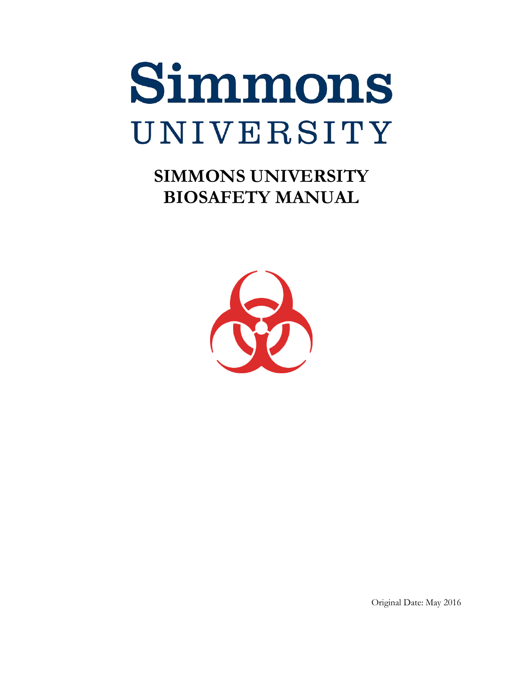# Simmons UNIVERSITY

**SIMMONS UNIVERSITY BIOSAFETY MANUAL**



Original Date: May 2016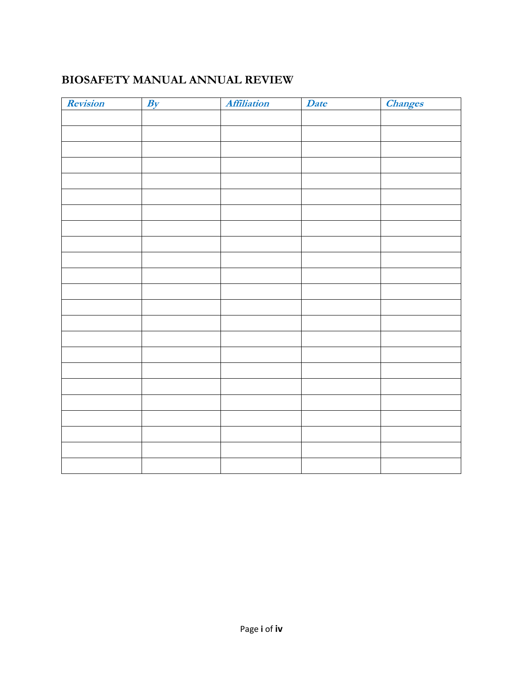# **BIOSAFETY MANUAL ANNUAL REVIEW**

| Revision | By | Affiliation | Date | <b>Changes</b> |
|----------|----|-------------|------|----------------|
|          |    |             |      |                |
|          |    |             |      |                |
|          |    |             |      |                |
|          |    |             |      |                |
|          |    |             |      |                |
|          |    |             |      |                |
|          |    |             |      |                |
|          |    |             |      |                |
|          |    |             |      |                |
|          |    |             |      |                |
|          |    |             |      |                |
|          |    |             |      |                |
|          |    |             |      |                |
|          |    |             |      |                |
|          |    |             |      |                |
|          |    |             |      |                |
|          |    |             |      |                |
|          |    |             |      |                |
|          |    |             |      |                |
|          |    |             |      |                |
|          |    |             |      |                |
|          |    |             |      |                |
|          |    |             |      |                |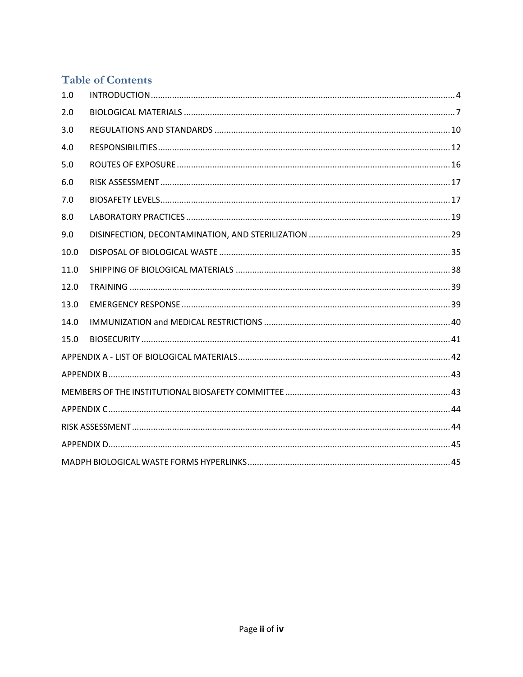# **Table of Contents**

| 1.0  |  |
|------|--|
| 2.0  |  |
| 3.0  |  |
| 4.0  |  |
| 5.0  |  |
| 6.0  |  |
| 7.0  |  |
| 8.0  |  |
| 9.0  |  |
| 10.0 |  |
| 11.0 |  |
| 12.0 |  |
| 13.0 |  |
| 14.0 |  |
| 15.0 |  |
|      |  |
|      |  |
|      |  |
|      |  |
|      |  |
|      |  |
|      |  |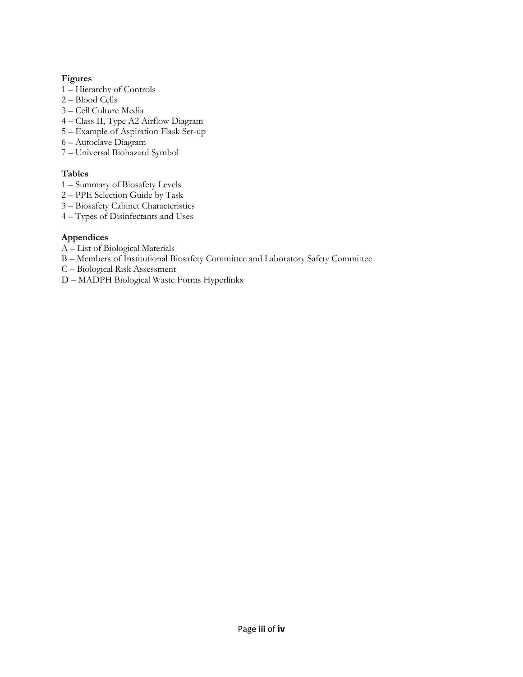#### **Figures**

- 1 Hierarchy of Controls
- 2 Blood Cells
- 3 Cell Culture Media
- 4 Class II, Type A2 Airflow Diagram
- 5 Example of Aspiration Flask Set-up
- 6 Autoclave Diagram
- 7 Universal Biohazard Symbol

#### **Tables**

- 1 Summary of Biosafety Levels
- 2 PPE Selection Guide by Task
- 3 Biosafety Cabinet Characteristics
- 4 Types of Disinfectants and Uses

#### **Appendices**

- A List of Biological Materials
- B Members of Institutional Biosafety Committee and Laboratory Safety Committee
- C Biological Risk Assessment
- D MADPH Biological Waste Forms Hyperlinks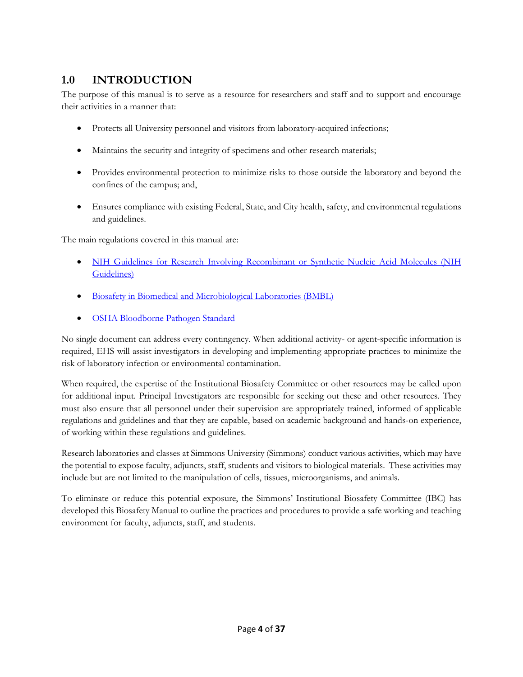# <span id="page-4-0"></span>**1.0 INTRODUCTION**

The purpose of this manual is to serve as a resource for researchers and staff and to support and encourage their activities in a manner that:

- Protects all University personnel and visitors from laboratory-acquired infections;
- Maintains the security and integrity of specimens and other research materials;
- Provides environmental protection to minimize risks to those outside the laboratory and beyond the confines of the campus; and,
- Ensures compliance with existing Federal, State, and City health, safety, and environmental regulations and guidelines.

The main regulations covered in this manual are:

- [NIH Guidelines for Research Involving Recombinant or Synthetic Nucleic Acid](https://osp.od.nih.gov/wp-content/uploads/2013/06/NIH_Guidelines.pdf) Molecules (NIH [Guidelines\)](https://osp.od.nih.gov/wp-content/uploads/2013/06/NIH_Guidelines.pdf)
- [Biosafety in Biomedical and Microbiological Laboratories \(BMBL\)](https://www.cdc.gov/labs/pdf/CDC-BiosafetyMicrobiologicalBiomedicalLaboratories-2009-P.PDF)
- [OSHA Bloodborne Pathogen Standard](https://www.osha.gov/pls/oshaweb/owadisp.show_document?p_id=10051&p_table=STANDARDS)

No single document can address every contingency. When additional activity- or agent-specific information is required, EHS will assist investigators in developing and implementing appropriate practices to minimize the risk of laboratory infection or environmental contamination.

When required, the expertise of the Institutional Biosafety Committee or other resources may be called upon for additional input. Principal Investigators are responsible for seeking out these and other resources. They must also ensure that all personnel under their supervision are appropriately trained, informed of applicable regulations and guidelines and that they are capable, based on academic background and hands-on experience, of working within these regulations and guidelines.

Research laboratories and classes at Simmons University (Simmons) conduct various activities, which may have the potential to expose faculty, adjuncts, staff, students and visitors to biological materials. These activities may include but are not limited to the manipulation of cells, tissues, microorganisms, and animals.

To eliminate or reduce this potential exposure, the Simmons' Institutional Biosafety Committee (IBC) has developed this Biosafety Manual to outline the practices and procedures to provide a safe working and teaching environment for faculty, adjuncts, staff, and students.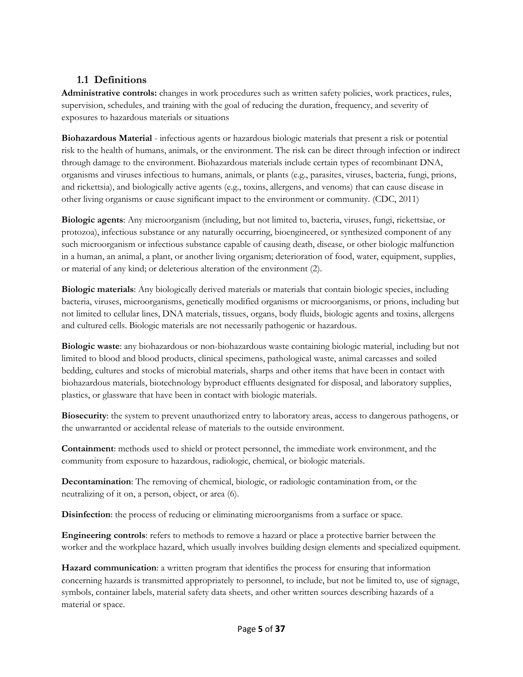## **1.1 Definitions**

**Administrative controls:** changes in work procedures such as written safety policies, work practices, rules, supervision, schedules, and training with the goal of reducing the duration, frequency, and severity of exposures to hazardous materials or situations

**Biohazardous Material** - infectious agents or hazardous biologic materials that present a risk or potential risk to the health of humans, animals, or the environment. The risk can be direct through infection or indirect through damage to the environment. Biohazardous materials include certain types of recombinant DNA, organisms and viruses infectious to humans, animals, or plants (e.g., parasites, viruses, bacteria, fungi, prions, and rickettsia), and biologically active agents (e.g., toxins, allergens, and venoms) that can cause disease in other living organisms or cause significant impact to the environment or community. (CDC, 2011)

**Biologic agents**: Any microorganism (including, but not limited to, bacteria, viruses, fungi, rickettsiae, or protozoa), infectious substance or any naturally occurring, bioengineered, or synthesized component of any such microorganism or infectious substance capable of causing death, disease, or other biologic malfunction in a human, an animal, a plant, or another living organism; deterioration of food, water, equipment, supplies, or material of any kind; or deleterious alteration of the environment (2).

**Biologic materials**: Any biologically derived materials or materials that contain biologic species, including bacteria, viruses, microorganisms, genetically modified organisms or microorganisms, or prions, including but not limited to cellular lines, DNA materials, tissues, organs, body fluids, biologic agents and toxins, allergens and cultured cells. Biologic materials are not necessarily pathogenic or hazardous.

**Biologic waste**: any biohazardous or non-biohazardous waste containing biologic material, including but not limited to blood and blood products, clinical specimens, pathological waste, animal carcasses and soiled bedding, cultures and stocks of microbial materials, sharps and other items that have been in contact with biohazardous materials, biotechnology byproduct effluents designated for disposal, and laboratory supplies, plastics, or glassware that have been in contact with biologic materials.

**Biosecurity**: the system to prevent unauthorized entry to laboratory areas, access to dangerous pathogens, or the unwarranted or accidental release of materials to the outside environment.

**Containment**: methods used to shield or protect personnel, the immediate work environment, and the community from exposure to hazardous, radiologic, chemical, or biologic materials.

**Decontamination**: The removing of chemical, biologic, or radiologic contamination from, or the neutralizing of it on, a person, object, or area (6).

**Disinfection**: the process of reducing or eliminating microorganisms from a surface or space.

**Engineering controls**: refers to methods to remove a hazard or place a protective barrier between the worker and the workplace hazard, which usually involves building design elements and specialized equipment.

**Hazard communication**: a written program that identifies the process for ensuring that information concerning hazards is transmitted appropriately to personnel, to include, but not be limited to, use of signage, symbols, container labels, material safety data sheets, and other written sources describing hazards of a material or space.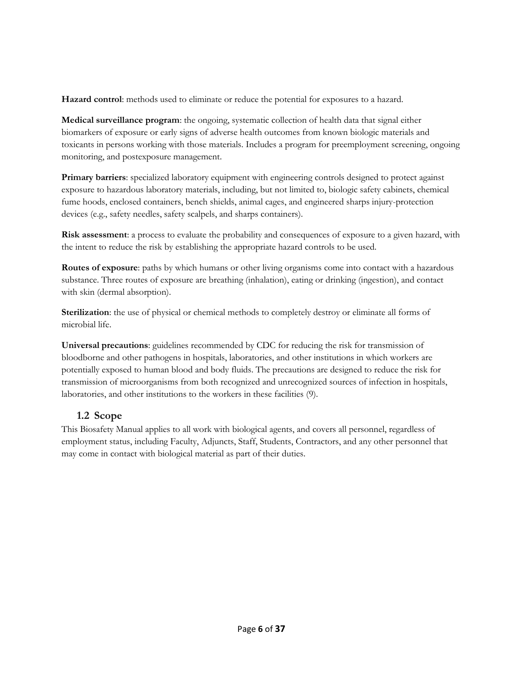**Hazard control**: methods used to eliminate or reduce the potential for exposures to a hazard.

**Medical surveillance program**: the ongoing, systematic collection of health data that signal either biomarkers of exposure or early signs of adverse health outcomes from known biologic materials and toxicants in persons working with those materials. Includes a program for preemployment screening, ongoing monitoring, and postexposure management.

**Primary barriers**: specialized laboratory equipment with engineering controls designed to protect against exposure to hazardous laboratory materials, including, but not limited to, biologic safety cabinets, chemical fume hoods, enclosed containers, bench shields, animal cages, and engineered sharps injury-protection devices (e.g., safety needles, safety scalpels, and sharps containers).

**Risk assessment**: a process to evaluate the probability and consequences of exposure to a given hazard, with the intent to reduce the risk by establishing the appropriate hazard controls to be used.

**Routes of exposure**: paths by which humans or other living organisms come into contact with a hazardous substance. Three routes of exposure are breathing (inhalation), eating or drinking (ingestion), and contact with skin (dermal absorption).

**Sterilization**: the use of physical or chemical methods to completely destroy or eliminate all forms of microbial life.

**Universal precautions**: guidelines recommended by CDC for reducing the risk for transmission of bloodborne and other pathogens in hospitals, laboratories, and other institutions in which workers are potentially exposed to human blood and body fluids. The precautions are designed to reduce the risk for transmission of microorganisms from both recognized and unrecognized sources of infection in hospitals, laboratories, and other institutions to the workers in these facilities (9).

## **1.2 Scope**

This Biosafety Manual applies to all work with biological agents, and covers all personnel, regardless of employment status, including Faculty, Adjuncts, Staff, Students, Contractors, and any other personnel that may come in contact with biological material as part of their duties.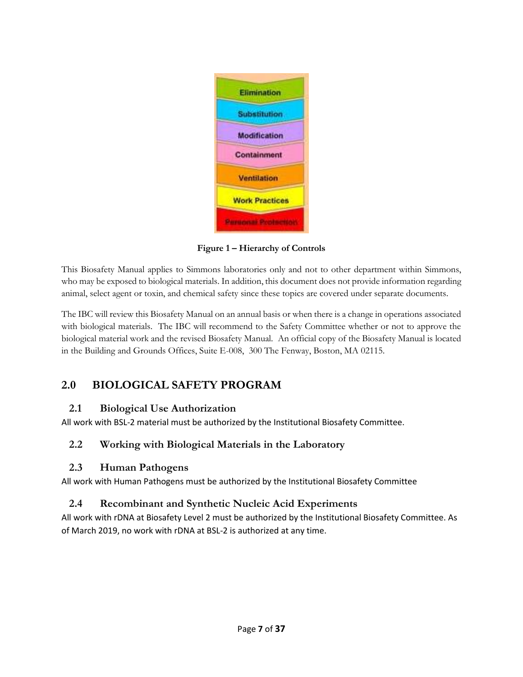

**Figure 1 – Hierarchy of Controls**

This Biosafety Manual applies to Simmons laboratories only and not to other department within Simmons, who may be exposed to biological materials. In addition, this document does not provide information regarding animal, select agent or toxin, and chemical safety since these topics are covered under separate documents.

The IBC will review this Biosafety Manual on an annual basis or when there is a change in operations associated with biological materials. The IBC will recommend to the Safety Committee whether or not to approve the biological material work and the revised Biosafety Manual. An official copy of the Biosafety Manual is located in the Building and Grounds Offices, Suite E-008, 300 The Fenway, Boston, MA 02115.

# <span id="page-7-0"></span>**2.0 BIOLOGICAL SAFETY PROGRAM**

## **2.1 Biological Use Authorization**

All work with BSL-2 material must be authorized by the Institutional Biosafety Committee.

## **2.2 Working with Biological Materials in the Laboratory**

## **2.3 Human Pathogens**

All work with Human Pathogens must be authorized by the Institutional Biosafety Committee

## **2.4 Recombinant and Synthetic Nucleic Acid Experiments**

All work with rDNA at Biosafety Level 2 must be authorized by the Institutional Biosafety Committee. As of March 2019, no work with rDNA at BSL-2 is authorized at any time.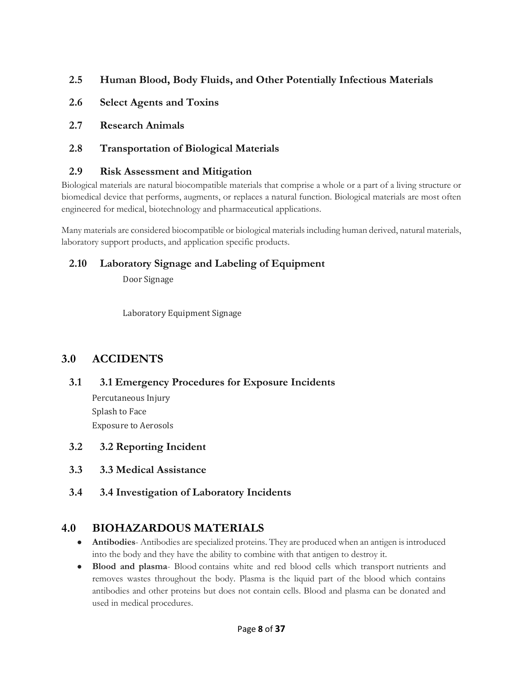- **2.5 Human Blood, Body Fluids, and Other Potentially Infectious Materials**
- **2.6 Select Agents and Toxins**
- **2.7 Research Animals**

## **2.8 Transportation of Biological Materials**

## **2.9 Risk Assessment and Mitigation**

Biological materials are natural biocompatible materials that comprise a whole or a part of a living structure or biomedical device that performs, augments, or replaces a natural function. Biological materials are most often engineered for medical, biotechnology and pharmaceutical applications.

Many materials are considered biocompatible or biological materials including human derived, natural materials, laboratory support products, and application specific products.

## **2.10 Laboratory Signage and Labeling of Equipment**

Door Signage

Laboratory Equipment Signage

# **3.0 ACCIDENTS**

## **3.1 3.1 Emergency Procedures for Exposure Incidents**

Percutaneous Injury Splash to Face Exposure to Aerosols

## **3.2 3.2 Reporting Incident**

**3.3 3.3 Medical Assistance**

## **3.4 3.4 Investigation of Laboratory Incidents**

# **4.0 BIOHAZARDOUS MATERIALS**

- **Antibodies** Antibodies are specialized proteins. They are produced when an antigen is introduced into the body and they have the ability to combine with that antigen to destroy it.
- **Blood and plasma** Blood contains white and red blood cells which transport nutrients and removes wastes throughout the body. Plasma is the liquid part of the blood which contains antibodies and other proteins but does not contain cells. Blood and plasma can be donated and used in medical procedures.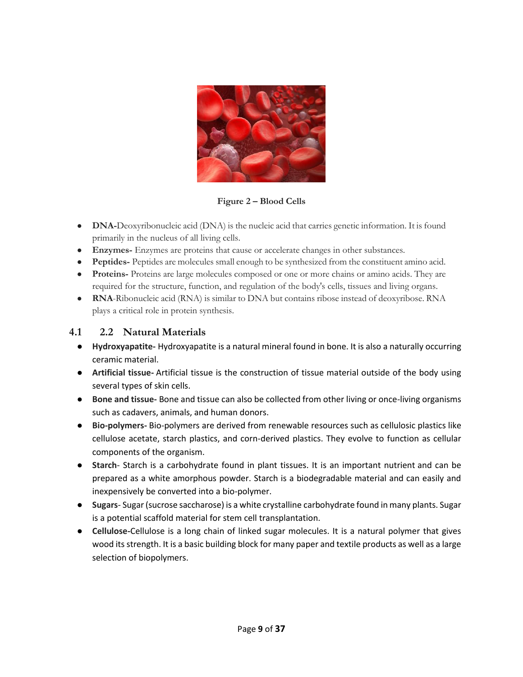

**Figure 2 – Blood Cells**

- **DNA-**Deoxyribonucleic acid (DNA) is the nucleic acid that carries genetic information. It is found primarily in the nucleus of all living cells.
- **Enzymes-** Enzymes are proteins that cause or accelerate changes in other substances.
- **Peptides-** Peptides are molecules small enough to be synthesized from the constituent amino acid.
- **Proteins-** Proteins are large molecules composed or one or more chains or amino acids. They are required for the structure, function, and regulation of the body's cells, tissues and living organs.
- **RNA**-Ribonucleic acid (RNA) is similar to DNA but contains ribose instead of deoxyribose. RNA plays a critical role in protein synthesis.

## **4.1 2.2 Natural Materials**

- **Hydroxyapatite-** Hydroxyapatite is a natural mineral found in bone. It is also a naturally occurring ceramic material.
- **Artificial tissue-** Artificial tissue is the construction of tissue material outside of the body using several types of skin cells.
- **Bone and tissue-** Bone and tissue can also be collected from other living or once-living organisms such as cadavers, animals, and human donors.
- **Bio-polymers-** Bio-polymers are derived from renewable resources such as cellulosic plastics like cellulose acetate, starch plastics, and corn-derived plastics. They evolve to function as cellular components of the organism.
- **Starch** Starch is a carbohydrate found in plant tissues. It is an important nutrient and can be prepared as a white amorphous powder. Starch is a biodegradable material and can easily and inexpensively be converted into a bio-polymer.
- **Sugars** Sugar (sucrose saccharose) is a white crystalline carbohydrate found in many plants. Sugar is a potential scaffold material for stem cell transplantation.
- **Cellulose-**Cellulose is a long chain of linked sugar molecules. It is a natural polymer that gives wood its strength. It is a basic building block for many paper and textile products as well as a large selection of biopolymers.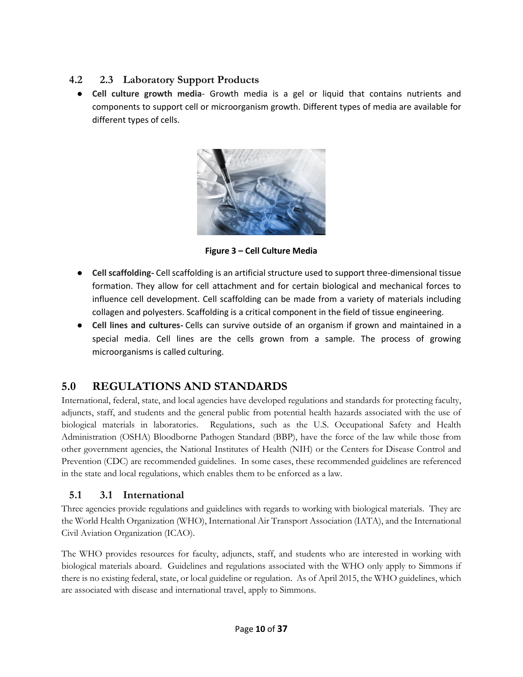## **4.2 2.3 Laboratory Support Products**

● **Cell culture growth media**- Growth media is a gel or liquid that contains nutrients and components to support cell or microorganism growth. Different types of media are available for different types of cells.



**Figure 3 – Cell Culture Media**

- **Cell scaffolding-** Cell scaffolding is an artificial structure used to support three-dimensional tissue formation. They allow for cell attachment and for certain biological and mechanical forces to influence cell development. Cell scaffolding can be made from a variety of materials including collagen and polyesters. Scaffolding is a critical component in the field of tissue engineering.
- **Cell lines and cultures-** Cells can survive outside of an organism if grown and maintained in a special media. Cell lines are the cells grown from a sample. The process of growing microorganisms is called culturing.

# <span id="page-10-0"></span>**5.0 REGULATIONS AND STANDARDS**

International, federal, state, and local agencies have developed regulations and standards for protecting faculty, adjuncts, staff, and students and the general public from potential health hazards associated with the use of biological materials in laboratories. Regulations, such as the U.S. Occupational Safety and Health Administration (OSHA) Bloodborne Pathogen Standard (BBP), have the force of the law while those from other government agencies, the National Institutes of Health (NIH) or the Centers for Disease Control and Prevention (CDC) are recommended guidelines. In some cases, these recommended guidelines are referenced in the state and local regulations, which enables them to be enforced as a law.

## **5.1 3.1 International**

Three agencies provide regulations and guidelines with regards to working with biological materials. They are the World Health Organization (WHO), International Air Transport Association (IATA), and the International Civil Aviation Organization (ICAO).

The WHO provides resources for faculty, adjuncts, staff, and students who are interested in working with biological materials aboard. Guidelines and regulations associated with the WHO only apply to Simmons if there is no existing federal, state, or local guideline or regulation. As of April 2015, the WHO guidelines, which are associated with disease and international travel, apply to Simmons.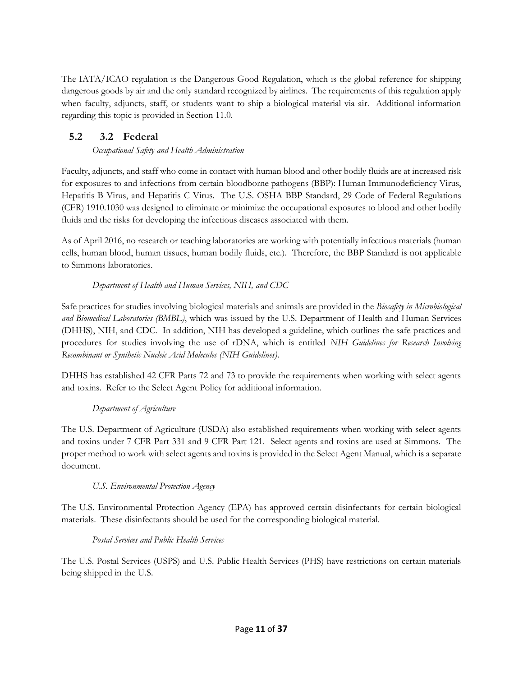The IATA/ICAO regulation is the Dangerous Good Regulation, which is the global reference for shipping dangerous goods by air and the only standard recognized by airlines. The requirements of this regulation apply when faculty, adjuncts, staff, or students want to ship a biological material via air. Additional information regarding this topic is provided in Section 11.0.

## **5.2 3.2 Federal**

## *Occupational Safety and Health Administration*

Faculty, adjuncts, and staff who come in contact with human blood and other bodily fluids are at increased risk for exposures to and infections from certain bloodborne pathogens (BBP): Human Immunodeficiency Virus, Hepatitis B Virus, and Hepatitis C Virus. The U.S. OSHA BBP Standard, 29 Code of Federal Regulations (CFR) 1910.1030 was designed to eliminate or minimize the occupational exposures to blood and other bodily fluids and the risks for developing the infectious diseases associated with them.

As of April 2016, no research or teaching laboratories are working with potentially infectious materials (human cells, human blood, human tissues, human bodily fluids, etc.). Therefore, the BBP Standard is not applicable to Simmons laboratories.

## *Department of Health and Human Services, NIH, and CDC*

Safe practices for studies involving biological materials and animals are provided in the *Biosafety in Microbiological and Biomedical Laboratories (BMBL)*, which was issued by the U.S. Department of Health and Human Services (DHHS), NIH, and CDC. In addition, NIH has developed a guideline, which outlines the safe practices and procedures for studies involving the use of rDNA, which is entitled *NIH Guidelines for Research Involving Recombinant or Synthetic Nucleic Acid Molecules (NIH Guidelines)*.

DHHS has established 42 CFR Parts 72 and 73 to provide the requirements when working with select agents and toxins. Refer to the Select Agent Policy for additional information.

## *Department of Agriculture*

The U.S. Department of Agriculture (USDA) also established requirements when working with select agents and toxins under 7 CFR Part 331 and 9 CFR Part 121. Select agents and toxins are used at Simmons. The proper method to work with select agents and toxins is provided in the Select Agent Manual, which is a separate document.

## *U.S. Environmental Protection Agency*

The U.S. Environmental Protection Agency (EPA) has approved certain disinfectants for certain biological materials. These disinfectants should be used for the corresponding biological material.

## *Postal Services and Public Health Services*

The U.S. Postal Services (USPS) and U.S. Public Health Services (PHS) have restrictions on certain materials being shipped in the U.S.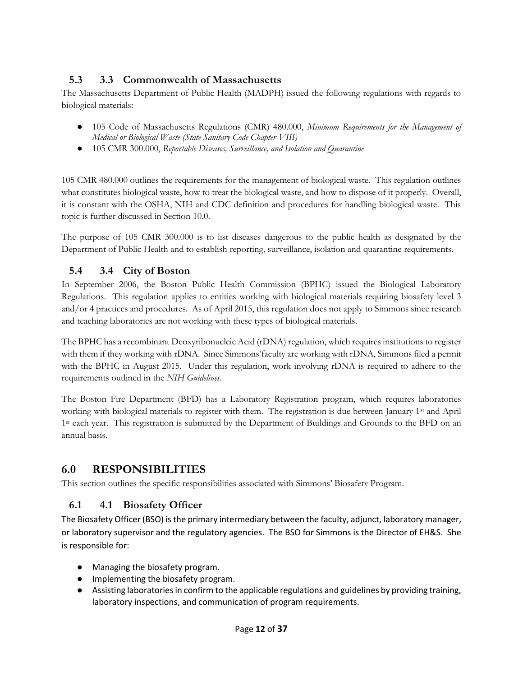## **5.3 3.3 Commonwealth of Massachusetts**

The Massachusetts Department of Public Health (MADPH) issued the following regulations with regards to biological materials:

- 105 Code of Massachusetts Regulations (CMR) 480.000, *Minimum Requirements for the Management of Medical or Biological Waste (State Sanitary Code Chapter VIII)*
- 105 CMR 300.000, *Reportable Diseases, Surveillance, and Isolation and Quarantine*

105 CMR 480.000 outlines the requirements for the management of biological waste. This regulation outlines what constitutes biological waste, how to treat the biological waste, and how to dispose of it properly. Overall, it is constant with the OSHA, NIH and CDC definition and procedures for handling biological waste. This topic is further discussed in Section 10.0.

The purpose of 105 CMR 300.000 is to list diseases dangerous to the public health as designated by the Department of Public Health and to establish reporting, surveillance, isolation and quarantine requirements.

## **5.4 3.4 City of Boston**

In September 2006, the Boston Public Health Commission (BPHC) issued the Biological Laboratory Regulations. This regulation applies to entities working with biological materials requiring biosafety level 3 and/or 4 practices and procedures. As of April 2015, this regulation does not apply to Simmons since research and teaching laboratories are not working with these types of biological materials.

The BPHC has a recombinant Deoxyribonucleic Acid (rDNA) regulation, which requires institutions to register with them if they working with rDNA. Since Simmons'faculty are working with rDNA, Simmons filed a permit with the BPHC in August 2015. Under this regulation, work involving rDNA is required to adhere to the requirements outlined in the *NIH Guidelines*.

The Boston Fire Department (BFD) has a Laboratory Registration program, which requires laboratories working with biological materials to register with them. The registration is due between January 1<sup>st</sup> and April 1st each year. This registration is submitted by the Department of Buildings and Grounds to the BFD on an annual basis.

## <span id="page-12-0"></span>**6.0 RESPONSIBILITIES**

This section outlines the specific responsibilities associated with Simmons' Biosafety Program.

## **6.1 4.1 Biosafety Officer**

The Biosafety Officer (BSO) is the primary intermediary between the faculty, adjunct, laboratory manager, or laboratory supervisor and the regulatory agencies. The BSO for Simmons is the Director of EH&S. She is responsible for:

- Managing the biosafety program.
- Implementing the biosafety program.
- Assisting laboratories in confirm to the applicable regulations and guidelines by providing training, laboratory inspections, and communication of program requirements.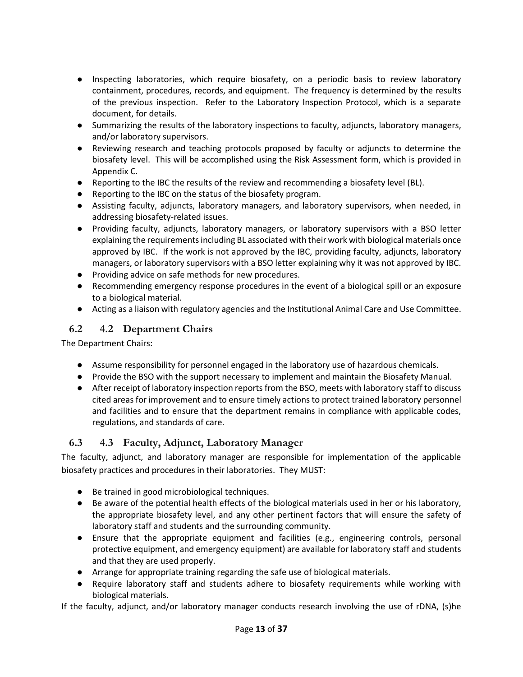- Inspecting laboratories, which require biosafety, on a periodic basis to review laboratory containment, procedures, records, and equipment. The frequency is determined by the results of the previous inspection. Refer to the Laboratory Inspection Protocol, which is a separate document, for details.
- Summarizing the results of the laboratory inspections to faculty, adjuncts, laboratory managers, and/or laboratory supervisors.
- Reviewing research and teaching protocols proposed by faculty or adjuncts to determine the biosafety level. This will be accomplished using the Risk Assessment form, which is provided in Appendix C.
- Reporting to the IBC the results of the review and recommending a biosafety level (BL).
- Reporting to the IBC on the status of the biosafety program.
- Assisting faculty, adjuncts, laboratory managers, and laboratory supervisors, when needed, in addressing biosafety-related issues.
- Providing faculty, adjuncts, laboratory managers, or laboratory supervisors with a BSO letter explaining the requirements including BL associated with their work with biological materials once approved by IBC. If the work is not approved by the IBC, providing faculty, adjuncts, laboratory managers, or laboratory supervisors with a BSO letter explaining why it was not approved by IBC.
- Providing advice on safe methods for new procedures.
- Recommending emergency response procedures in the event of a biological spill or an exposure to a biological material.
- Acting as a liaison with regulatory agencies and the Institutional Animal Care and Use Committee.

## **6.2 4.2 Department Chairs**

The Department Chairs:

- Assume responsibility for personnel engaged in the laboratory use of hazardous chemicals.
- Provide the BSO with the support necessary to implement and maintain the Biosafety Manual.
- After receipt of laboratory inspection reports from the BSO, meets with laboratory staff to discuss cited areas for improvement and to ensure timely actions to protect trained laboratory personnel and facilities and to ensure that the department remains in compliance with applicable codes, regulations, and standards of care.

## **6.3 4.3 Faculty, Adjunct, Laboratory Manager**

The faculty, adjunct, and laboratory manager are responsible for implementation of the applicable biosafety practices and procedures in their laboratories. They MUST:

- Be trained in good microbiological techniques.
- Be aware of the potential health effects of the biological materials used in her or his laboratory, the appropriate biosafety level, and any other pertinent factors that will ensure the safety of laboratory staff and students and the surrounding community.
- Ensure that the appropriate equipment and facilities (e.g., engineering controls, personal protective equipment, and emergency equipment) are available for laboratory staff and students and that they are used properly.
- Arrange for appropriate training regarding the safe use of biological materials.
- Require laboratory staff and students adhere to biosafety requirements while working with biological materials.

If the faculty, adjunct, and/or laboratory manager conducts research involving the use of rDNA, (s)he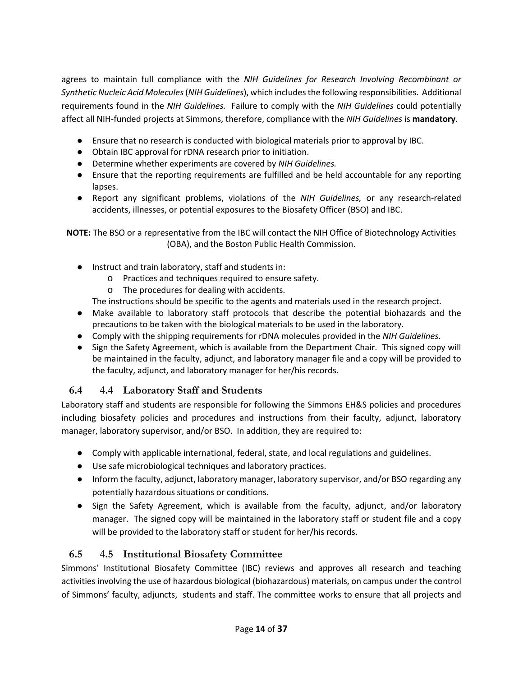agrees to maintain full compliance with the *NIH Guidelines for Research Involving Recombinant or Synthetic Nucleic Acid Molecules*(*NIH Guidelines*), which includes the following responsibilities. Additional requirements found in the *NIH Guidelines.* Failure to comply with the *NIH Guidelines* could potentially affect all NIH-funded projects at Simmons, therefore, compliance with the *NIH Guidelines* is **mandatory**.

- Ensure that no research is conducted with biological materials prior to approval by IBC.
- Obtain IBC approval for rDNA research prior to initiation.
- Determine whether experiments are covered by *NIH Guidelines.*
- Ensure that the reporting requirements are fulfilled and be held accountable for any reporting lapses.
- Report any significant problems, violations of the *NIH Guidelines,* or any research-related accidents, illnesses, or potential exposures to the Biosafety Officer (BSO) and IBC.

**NOTE:** The BSO or a representative from the IBC will contact the NIH Office of Biotechnology Activities (OBA), and the Boston Public Health Commission.

- Instruct and train laboratory, staff and students in:
	- o Practices and techniques required to ensure safety.
	- o The procedures for dealing with accidents.

The instructions should be specific to the agents and materials used in the research project.

- Make available to laboratory staff protocols that describe the potential biohazards and the precautions to be taken with the biological materials to be used in the laboratory.
- Comply with the shipping requirements for rDNA molecules provided in the *NIH Guidelines*.
- Sign the Safety Agreement, which is available from the Department Chair. This signed copy will be maintained in the faculty, adjunct, and laboratory manager file and a copy will be provided to the faculty, adjunct, and laboratory manager for her/his records.

## **6.4 4.4 Laboratory Staff and Students**

Laboratory staff and students are responsible for following the Simmons EH&S policies and procedures including biosafety policies and procedures and instructions from their faculty, adjunct, laboratory manager, laboratory supervisor, and/or BSO. In addition, they are required to:

- Comply with applicable international, federal, state, and local regulations and guidelines.
- Use safe microbiological techniques and laboratory practices.
- Inform the faculty, adjunct, laboratory manager, laboratory supervisor, and/or BSO regarding any potentially hazardous situations or conditions.
- Sign the Safety Agreement, which is available from the faculty, adjunct, and/or laboratory manager. The signed copy will be maintained in the laboratory staff or student file and a copy will be provided to the laboratory staff or student for her/his records.

## **6.5 4.5 Institutional Biosafety Committee**

Simmons' Institutional Biosafety Committee (IBC) reviews and approves all research and teaching activities involving the use of hazardous biological (biohazardous) materials, on campus under the control of Simmons' faculty, adjuncts, students and staff. The committee works to ensure that all projects and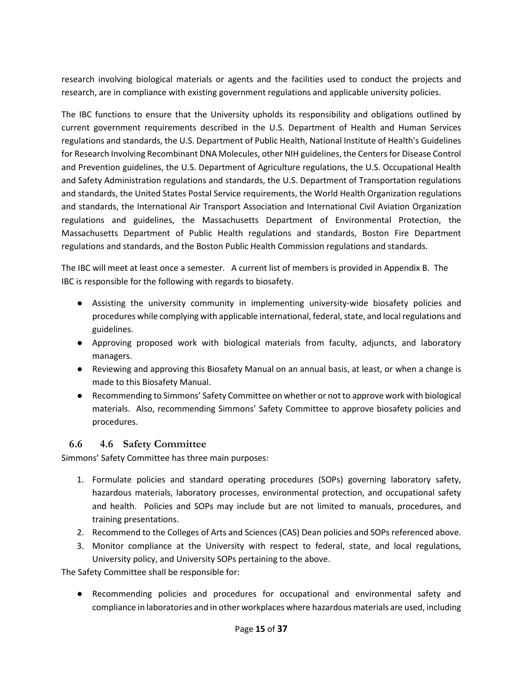research involving biological materials or agents and the facilities used to conduct the projects and research, are in compliance with existing government regulations and applicable university policies.

The IBC functions to ensure that the University upholds its responsibility and obligations outlined by current government requirements described in the U.S. Department of Health and Human Services regulations and standards, the U.S. Department of Public Health, National Institute of Health's Guidelines for Research Involving Recombinant DNA Molecules, other NIH guidelines, the Centers for Disease Control and Prevention guidelines, the U.S. Department of Agriculture regulations, the U.S. Occupational Health and Safety Administration regulations and standards, the U.S. Department of Transportation regulations and standards, the United States Postal Service requirements, the World Health Organization regulations and standards, the International Air Transport Association and International Civil Aviation Organization regulations and guidelines, the Massachusetts Department of Environmental Protection, the Massachusetts Department of Public Health regulations and standards, Boston Fire Department regulations and standards, and the Boston Public Health Commission regulations and standards.

The IBC will meet at least once a semester. A current list of members is provided in Appendix B. The IBC is responsible for the following with regards to biosafety.

- Assisting the university community in implementing university-wide biosafety policies and procedures while complying with applicable international, federal, state, and local regulations and guidelines.
- Approving proposed work with biological materials from faculty, adjuncts, and laboratory managers.
- Reviewing and approving this Biosafety Manual on an annual basis, at least, or when a change is made to this Biosafety Manual.
- Recommending to Simmons' Safety Committee on whether or not to approve work with biological materials. Also, recommending Simmons' Safety Committee to approve biosafety policies and procedures.

## **6.6 4.6 Safety Committee**

Simmons' Safety Committee has three main purposes:

- 1. Formulate policies and standard operating procedures (SOPs) governing laboratory safety, hazardous materials, laboratory processes, environmental protection, and occupational safety and health. Policies and SOPs may include but are not limited to manuals, procedures, and training presentations.
- 2. Recommend to the Colleges of Arts and Sciences (CAS) Dean policies and SOPs referenced above.
- 3. Monitor compliance at the University with respect to federal, state, and local regulations, University policy, and University SOPs pertaining to the above.

The Safety Committee shall be responsible for:

● Recommending policies and procedures for occupational and environmental safety and compliance in laboratories and in other workplaces where hazardous materials are used, including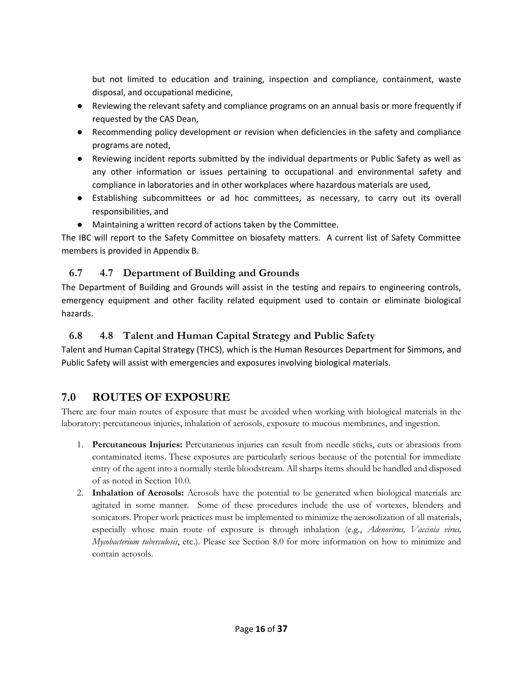but not limited to education and training, inspection and compliance, containment, waste disposal, and occupational medicine,

- Reviewing the relevant safety and compliance programs on an annual basis or more frequently if requested by the CAS Dean,
- Recommending policy development or revision when deficiencies in the safety and compliance programs are noted,
- Reviewing incident reports submitted by the individual departments or Public Safety as well as any other information or issues pertaining to occupational and environmental safety and compliance in laboratories and in other workplaces where hazardous materials are used,
- Establishing subcommittees or ad hoc committees, as necessary, to carry out its overall responsibilities, and
- Maintaining a written record of actions taken by the Committee.

The IBC will report to the Safety Committee on biosafety matters. A current list of Safety Committee members is provided in Appendix B.

## **6.7 4.7 Department of Building and Grounds**

The Department of Building and Grounds will assist in the testing and repairs to engineering controls, emergency equipment and other facility related equipment used to contain or eliminate biological hazards.

## **6.8 4.8 Talent and Human Capital Strategy and Public Safety**

Talent and Human Capital Strategy (THCS), which is the Human Resources Department for Simmons, and Public Safety will assist with emergencies and exposures involving biological materials.

# <span id="page-16-0"></span>**7.0 ROUTES OF EXPOSURE**

There are four main routes of exposure that must be avoided when working with biological materials in the laboratory: percutaneous injuries, inhalation of aerosols, exposure to mucous membranes, and ingestion.

- 1. **Percutaneous Injuries:** Percutaneous injuries can result from needle sticks, cuts or abrasions from contaminated items. These exposures are particularly serious because of the potential for immediate entry of the agent into a normally sterile bloodstream. All sharps items should be handled and disposed of as noted in Section 10.0.
- 2. **Inhalation of Aerosols:** Aerosols have the potential to be generated when biological materials are agitated in some manner. Some of these procedures include the use of vortexes, blenders and sonicators. Proper work practices must be implemented to minimize the aerosolization of all materials, especially whose main route of exposure is through inhalation (e.g., *Adenovirus, Vaccinia virus, Mycobacterium tuberculosis*, etc.). Please see Section 8.0 for more information on how to minimize and contain aerosols.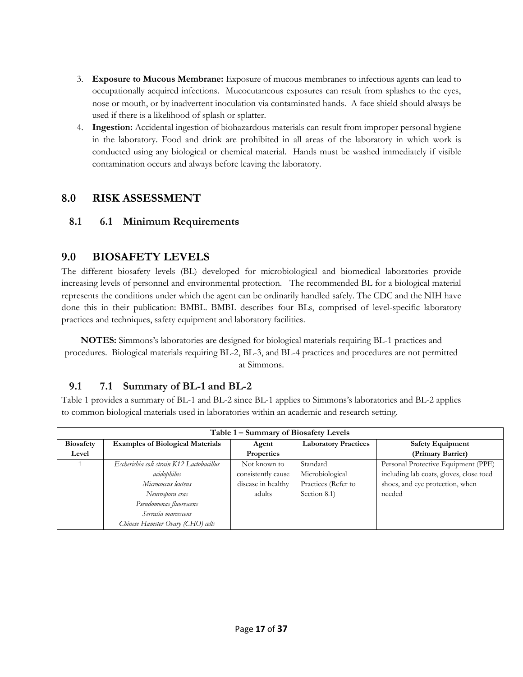- 3. **Exposure to Mucous Membrane:** Exposure of mucous membranes to infectious agents can lead to occupationally acquired infections. Mucocutaneous exposures can result from splashes to the eyes, nose or mouth, or by inadvertent inoculation via contaminated hands. A face shield should always be used if there is a likelihood of splash or splatter.
- 4. **Ingestion:** Accidental ingestion of biohazardous materials can result from improper personal hygiene in the laboratory. Food and drink are prohibited in all areas of the laboratory in which work is conducted using any biological or chemical material. Hands must be washed immediately if visible contamination occurs and always before leaving the laboratory.

## <span id="page-17-0"></span>**8.0 RISK ASSESSMENT**

## <span id="page-17-1"></span>**8.1 6.1 Minimum Requirements**

## **9.0 BIOSAFETY LEVELS**

The different biosafety levels (BL) developed for microbiological and biomedical laboratories provide increasing levels of personnel and environmental protection. The recommended BL for a biological material represents the conditions under which the agent can be ordinarily handled safely. The CDC and the NIH have done this in their publication: BMBL. BMBL describes four BLs, comprised of level-specific laboratory practices and techniques, safety equipment and laboratory facilities.

**NOTES:** Simmons's laboratories are designed for biological materials requiring BL-1 practices and procedures. Biological materials requiring BL-2, BL-3, and BL-4 practices and procedures are not permitted at Simmons.

## **9.1 7.1 Summary of BL-1 and BL-2**

Table 1 provides a summary of BL-1 and BL-2 since BL-1 applies to Simmons's laboratories and BL-2 applies to common biological materials used in laboratories within an academic and research setting.

| Table 1 – Summary of Biosafety Levels |                                           |                    |                             |                                         |
|---------------------------------------|-------------------------------------------|--------------------|-----------------------------|-----------------------------------------|
| <b>Biosafety</b>                      | <b>Examples of Biological Materials</b>   | Agent              | <b>Laboratory Practices</b> | <b>Safety Equipment</b>                 |
| Level                                 |                                           | <b>Properties</b>  |                             | (Primary Barrier)                       |
|                                       | Escherichia coli strain K12 Lactobacillus | Not known to       | Standard                    | Personal Protective Equipment (PPE)     |
|                                       | acidophilus                               | consistently cause | Microbiological             | including lab coats, gloves, close toed |
|                                       | Micrococcus leuteus                       | disease in healthy | Practices (Refer to         | shoes, and eye protection, when         |
|                                       | Neurospora cras                           | adults             | Section 8.1)                | needed                                  |
|                                       | Pseudomonas fluorescens                   |                    |                             |                                         |
|                                       | Serratia marcescens                       |                    |                             |                                         |
|                                       | Chinese Hamster Ovary (CHO) cells         |                    |                             |                                         |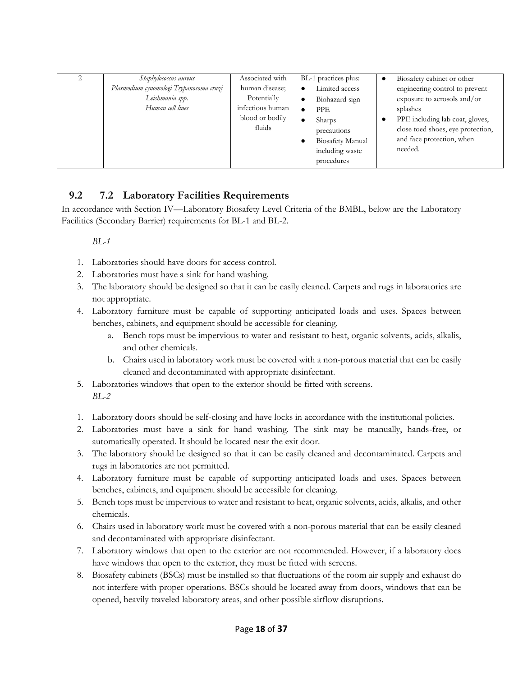|  | Staphylococcus aureus<br>Plasmodium cynomologi Trypanosoma cruzi<br>Leishmania spp.<br>Human cell lines | Associated with<br>human disease;<br>Potentially<br>infectious human<br>blood or bodily<br>fluids | BL-1 practices plus:<br>Limited access<br>Biohazard sign<br><b>PPE</b><br>Sharps<br>$\epsilon$<br>precautions<br><b>Biosafety Manual</b><br>including waste<br>procedures | Biosafety cabinet or other<br>٠<br>engineering control to prevent<br>exposure to aerosols and/or<br>splashes<br>PPE including lab coat, gloves,<br>close toed shoes, eye protection,<br>and face protection, when<br>needed. |
|--|---------------------------------------------------------------------------------------------------------|---------------------------------------------------------------------------------------------------|---------------------------------------------------------------------------------------------------------------------------------------------------------------------------|------------------------------------------------------------------------------------------------------------------------------------------------------------------------------------------------------------------------------|
|--|---------------------------------------------------------------------------------------------------------|---------------------------------------------------------------------------------------------------|---------------------------------------------------------------------------------------------------------------------------------------------------------------------------|------------------------------------------------------------------------------------------------------------------------------------------------------------------------------------------------------------------------------|

## **9.2 7.2 Laboratory Facilities Requirements**

In accordance with Section IV—Laboratory Biosafety Level Criteria of the BMBL, below are the Laboratory Facilities (Secondary Barrier) requirements for BL-1 and BL-2.

*BL-1*

- 1. Laboratories should have doors for access control.
- 2. Laboratories must have a sink for hand washing.
- 3. The laboratory should be designed so that it can be easily cleaned. Carpets and rugs in laboratories are not appropriate.
- 4. Laboratory furniture must be capable of supporting anticipated loads and uses. Spaces between benches, cabinets, and equipment should be accessible for cleaning.
	- Bench tops must be impervious to water and resistant to heat, organic solvents, acids, alkalis, and other chemicals.
	- b. Chairs used in laboratory work must be covered with a non-porous material that can be easily cleaned and decontaminated with appropriate disinfectant.
- 5. Laboratories windows that open to the exterior should be fitted with screens. *BL-2*
- 1. Laboratory doors should be self-closing and have locks in accordance with the institutional policies.
- 2. Laboratories must have a sink for hand washing. The sink may be manually, hands-free, or automatically operated. It should be located near the exit door.
- 3. The laboratory should be designed so that it can be easily cleaned and decontaminated. Carpets and rugs in laboratories are not permitted.
- 4. Laboratory furniture must be capable of supporting anticipated loads and uses. Spaces between benches, cabinets, and equipment should be accessible for cleaning.
- 5. Bench tops must be impervious to water and resistant to heat, organic solvents, acids, alkalis, and other chemicals.
- 6. Chairs used in laboratory work must be covered with a non-porous material that can be easily cleaned and decontaminated with appropriate disinfectant.
- 7. Laboratory windows that open to the exterior are not recommended. However, if a laboratory does have windows that open to the exterior, they must be fitted with screens.
- 8. Biosafety cabinets (BSCs) must be installed so that fluctuations of the room air supply and exhaust do not interfere with proper operations. BSCs should be located away from doors, windows that can be opened, heavily traveled laboratory areas, and other possible airflow disruptions.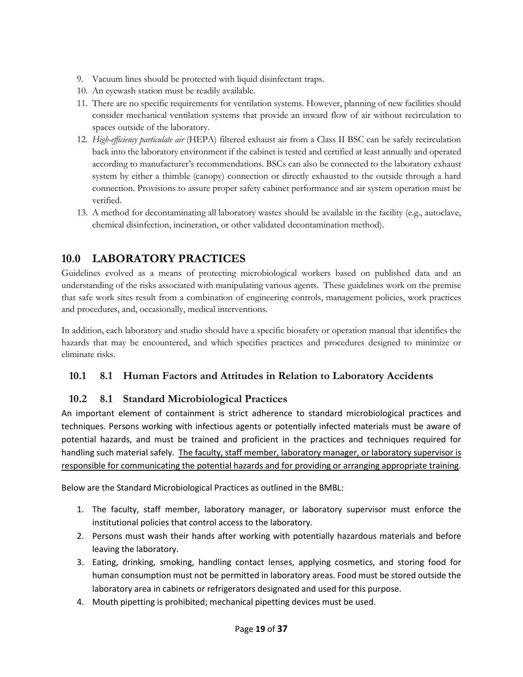- 9. Vacuum lines should be protected with liquid disinfectant traps.
- 10. An eyewash station must be readily available.
- 11. There are no specific requirements for ventilation systems. However, planning of new facilities should consider mechanical ventilation systems that provide an inward flow of air without recirculation to spaces outside of the laboratory.
- 12. *High-efficiency particulate air* (HEPA) filtered exhaust air from a Class II BSC can be safely recirculation back into the laboratory environment if the cabinet is tested and certified at least annually and operated according to manufacturer's recommendations. BSCs can also be connected to the laboratory exhaust system by either a thimble (canopy) connection or directly exhausted to the outside through a hard connection. Provisions to assure proper safety cabinet performance and air system operation must be verified.
- 13. A method for decontaminating all laboratory wastes should be available in the facility (e.g., autoclave, chemical disinfection, incineration, or other validated decontamination method).

## <span id="page-19-0"></span>**10.0 LABORATORY PRACTICES**

Guidelines evolved as a means of protecting microbiological workers based on published data and an understanding of the risks associated with manipulating various agents. These guidelines work on the premise that safe work sites result from a combination of engineering controls, management policies, work practices and procedures, and, occasionally, medical interventions.

In addition, each laboratory and studio should have a specific biosafety or operation manual that identifies the hazards that may be encountered, and which specifies practices and procedures designed to minimize or eliminate risks.

## **10.1 8.1 Human Factors and Attitudes in Relation to Laboratory Accidents**

## **10.2 8.1 Standard Microbiological Practices**

An important element of containment is strict adherence to standard microbiological practices and techniques. Persons working with infectious agents or potentially infected materials must be aware of potential hazards, and must be trained and proficient in the practices and techniques required for handling such material safely. The faculty, staff member, laboratory manager, or laboratory supervisor is responsible for communicating the potential hazards and for providing or arranging appropriate training.

Below are the Standard Microbiological Practices as outlined in the BMBL:

- 1. The faculty, staff member, laboratory manager, or laboratory supervisor must enforce the institutional policies that control access to the laboratory.
- 2. Persons must wash their hands after working with potentially hazardous materials and before leaving the laboratory.
- 3. Eating, drinking, smoking, handling contact lenses, applying cosmetics, and storing food for human consumption must not be permitted in laboratory areas. Food must be stored outside the laboratory area in cabinets or refrigerators designated and used for this purpose.
- 4. Mouth pipetting is prohibited; mechanical pipetting devices must be used.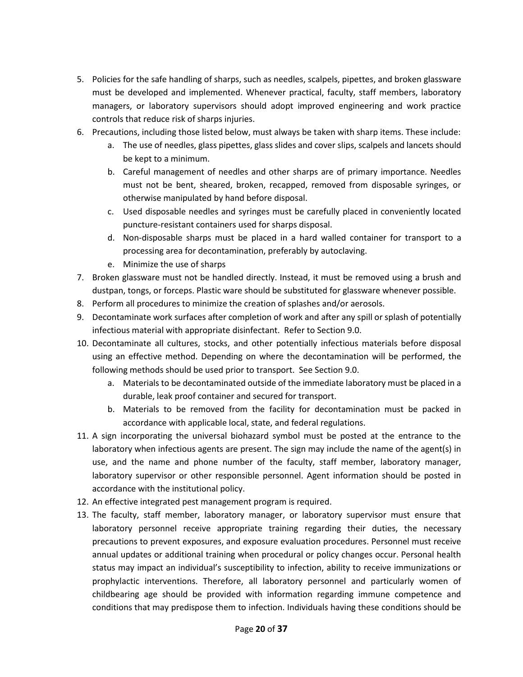- 5. Policies for the safe handling of sharps, such as needles, scalpels, pipettes, and broken glassware must be developed and implemented. Whenever practical, faculty, staff members, laboratory managers, or laboratory supervisors should adopt improved engineering and work practice controls that reduce risk of sharps injuries.
- 6. Precautions, including those listed below, must always be taken with sharp items. These include:
	- a. The use of needles, glass pipettes, glass slides and cover slips, scalpels and lancets should be kept to a minimum.
	- b. Careful management of needles and other sharps are of primary importance. Needles must not be bent, sheared, broken, recapped, removed from disposable syringes, or otherwise manipulated by hand before disposal.
	- c. Used disposable needles and syringes must be carefully placed in conveniently located puncture-resistant containers used for sharps disposal.
	- d. Non-disposable sharps must be placed in a hard walled container for transport to a processing area for decontamination, preferably by autoclaving.
	- e. Minimize the use of sharps
- 7. Broken glassware must not be handled directly. Instead, it must be removed using a brush and dustpan, tongs, or forceps. Plastic ware should be substituted for glassware whenever possible.
- 8. Perform all procedures to minimize the creation of splashes and/or aerosols.
- 9. Decontaminate work surfaces after completion of work and after any spill or splash of potentially infectious material with appropriate disinfectant. Refer to Section 9.0.
- 10. Decontaminate all cultures, stocks, and other potentially infectious materials before disposal using an effective method. Depending on where the decontamination will be performed, the following methods should be used prior to transport. See Section 9.0.
	- a. Materials to be decontaminated outside of the immediate laboratory must be placed in a durable, leak proof container and secured for transport.
	- b. Materials to be removed from the facility for decontamination must be packed in accordance with applicable local, state, and federal regulations.
- 11. A sign incorporating the universal biohazard symbol must be posted at the entrance to the laboratory when infectious agents are present. The sign may include the name of the agent(s) in use, and the name and phone number of the faculty, staff member, laboratory manager, laboratory supervisor or other responsible personnel. Agent information should be posted in accordance with the institutional policy.
- 12. An effective integrated pest management program is required.
- 13. The faculty, staff member, laboratory manager, or laboratory supervisor must ensure that laboratory personnel receive appropriate training regarding their duties, the necessary precautions to prevent exposures, and exposure evaluation procedures. Personnel must receive annual updates or additional training when procedural or policy changes occur. Personal health status may impact an individual's susceptibility to infection, ability to receive immunizations or prophylactic interventions. Therefore, all laboratory personnel and particularly women of childbearing age should be provided with information regarding immune competence and conditions that may predispose them to infection. Individuals having these conditions should be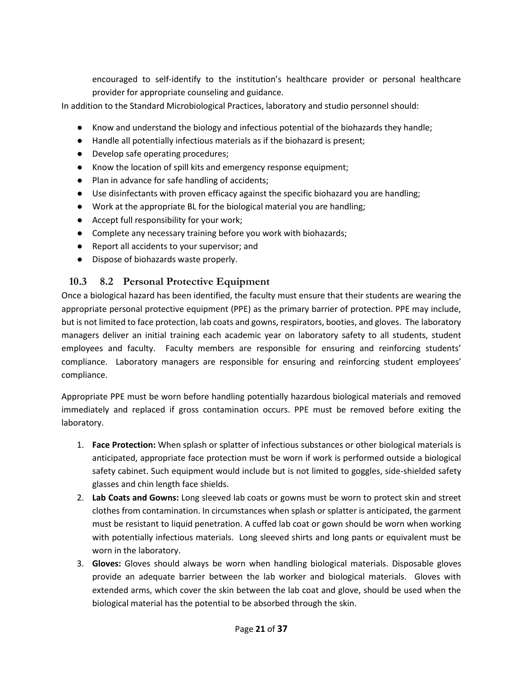encouraged to self-identify to the institution's healthcare provider or personal healthcare provider for appropriate counseling and guidance.

In addition to the Standard Microbiological Practices, laboratory and studio personnel should:

- Know and understand the biology and infectious potential of the biohazards they handle;
- Handle all potentially infectious materials as if the biohazard is present;
- Develop safe operating procedures;
- Know the location of spill kits and emergency response equipment;
- Plan in advance for safe handling of accidents;
- Use disinfectants with proven efficacy against the specific biohazard you are handling;
- Work at the appropriate BL for the biological material you are handling;
- Accept full responsibility for your work;
- Complete any necessary training before you work with biohazards;
- Report all accidents to your supervisor; and
- Dispose of biohazards waste properly.

## **10.3 8.2 Personal Protective Equipment**

Once a biological hazard has been identified, the faculty must ensure that their students are wearing the appropriate personal protective equipment (PPE) as the primary barrier of protection. PPE may include, but is not limited to face protection, lab coats and gowns, respirators, booties, and gloves. The laboratory managers deliver an initial training each academic year on laboratory safety to all students, student employees and faculty. Faculty members are responsible for ensuring and reinforcing students' compliance. Laboratory managers are responsible for ensuring and reinforcing student employees' compliance.

Appropriate PPE must be worn before handling potentially hazardous biological materials and removed immediately and replaced if gross contamination occurs. PPE must be removed before exiting the laboratory.

- 1. **Face Protection:** When splash or splatter of infectious substances or other biological materials is anticipated, appropriate face protection must be worn if work is performed outside a biological safety cabinet. Such equipment would include but is not limited to goggles, side-shielded safety glasses and chin length face shields.
- 2. **Lab Coats and Gowns:** Long sleeved lab coats or gowns must be worn to protect skin and street clothes from contamination. In circumstances when splash or splatter is anticipated, the garment must be resistant to liquid penetration. A cuffed lab coat or gown should be worn when working with potentially infectious materials. Long sleeved shirts and long pants or equivalent must be worn in the laboratory.
- 3. **Gloves:** Gloves should always be worn when handling biological materials. Disposable gloves provide an adequate barrier between the lab worker and biological materials. Gloves with extended arms, which cover the skin between the lab coat and glove, should be used when the biological material has the potential to be absorbed through the skin.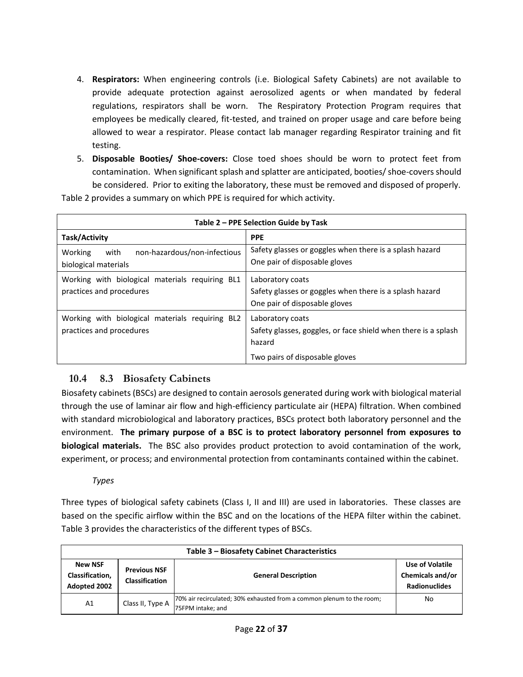- 4. **Respirators:** When engineering controls (i.e. Biological Safety Cabinets) are not available to provide adequate protection against aerosolized agents or when mandated by federal regulations, respirators shall be worn. The Respiratory Protection Program requires that employees be medically cleared, fit-tested, and trained on proper usage and care before being allowed to wear a respirator. Please contact lab manager regarding Respirator training and fit testing.
- 5. **Disposable Booties/ Shoe-covers:** Close toed shoes should be worn to protect feet from contamination. When significant splash and splatter are anticipated, booties/ shoe-covers should be considered. Prior to exiting the laboratory, these must be removed and disposed of properly.

| Table 2 – PPE Selection Guide by Task                                       |                                                                                                                                |  |
|-----------------------------------------------------------------------------|--------------------------------------------------------------------------------------------------------------------------------|--|
| Task/Activity                                                               | <b>PPE</b>                                                                                                                     |  |
| non-hazardous/non-infectious<br>with<br>Working<br>biological materials     | Safety glasses or goggles when there is a splash hazard<br>One pair of disposable gloves                                       |  |
| Working with biological materials requiring BL1<br>practices and procedures | Laboratory coats<br>Safety glasses or goggles when there is a splash hazard<br>One pair of disposable gloves                   |  |
| Working with biological materials requiring BL2<br>practices and procedures | Laboratory coats<br>Safety glasses, goggles, or face shield when there is a splash<br>hazard<br>Two pairs of disposable gloves |  |

Table 2 provides a summary on which PPE is required for which activity.

# **10.4 8.3 Biosafety Cabinets**

Biosafety cabinets (BSCs) are designed to contain aerosols generated during work with biological material through the use of laminar air flow and high-efficiency particulate air (HEPA) filtration. When combined with standard microbiological and laboratory practices, BSCs protect both laboratory personnel and the environment. **The primary purpose of a BSC is to protect laboratory personnel from exposures to biological materials.** The BSC also provides product protection to avoid contamination of the work, experiment, or process; and environmental protection from contaminants contained within the cabinet.

*Types* 

Three types of biological safety cabinets (Class I, II and III) are used in laboratories. These classes are based on the specific airflow within the BSC and on the locations of the HEPA filter within the cabinet. Table 3 provides the characteristics of the different types of BSCs.

| Table 3 - Biosafety Cabinet Characteristics       |                                              |                                                                                             |                                                             |
|---------------------------------------------------|----------------------------------------------|---------------------------------------------------------------------------------------------|-------------------------------------------------------------|
| <b>New NSF</b><br>Classification,<br>Adopted 2002 | <b>Previous NSF</b><br><b>Classification</b> | <b>General Description</b>                                                                  | Use of Volatile<br>Chemicals and/or<br><b>Radionuclides</b> |
| A1                                                | Class II, Type A                             | [70% air recirculated; 30% exhausted from a common plenum to the room;<br>75FPM intake; and | No                                                          |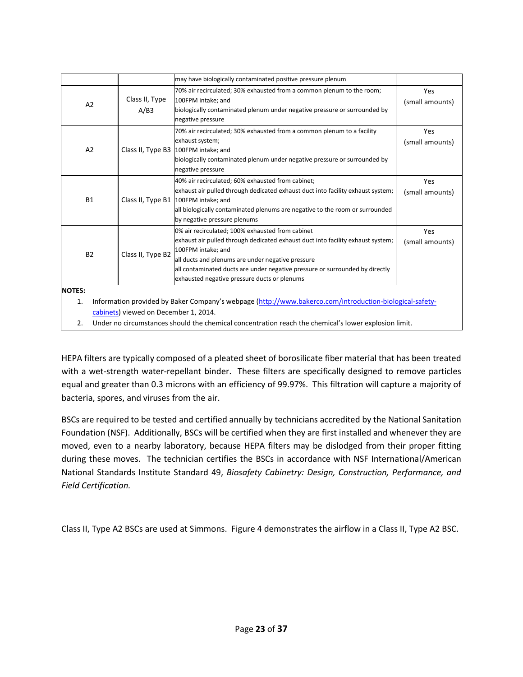|                |                                                                                                      | may have biologically contaminated positive pressure plenum                                             |                 |
|----------------|------------------------------------------------------------------------------------------------------|---------------------------------------------------------------------------------------------------------|-----------------|
|                | Class II, Type                                                                                       | 70% air recirculated; 30% exhausted from a common plenum to the room;<br>100FPM intake; and             | Yes             |
| A <sub>2</sub> |                                                                                                      |                                                                                                         | (small amounts) |
|                | A/B3                                                                                                 | biologically contaminated plenum under negative pressure or surrounded by                               |                 |
|                |                                                                                                      | negative pressure                                                                                       |                 |
|                |                                                                                                      | 70% air recirculated; 30% exhausted from a common plenum to a facility                                  | Yes             |
|                |                                                                                                      | exhaust system;                                                                                         | (small amounts) |
| A2             |                                                                                                      | Class II, Type B3 100FPM intake; and                                                                    |                 |
|                |                                                                                                      | biologically contaminated plenum under negative pressure or surrounded by                               |                 |
|                |                                                                                                      | negative pressure                                                                                       |                 |
|                |                                                                                                      | 40% air recirculated; 60% exhausted from cabinet;                                                       | Yes             |
|                |                                                                                                      | exhaust air pulled through dedicated exhaust duct into facility exhaust system;                         | (small amounts) |
| <b>B1</b>      |                                                                                                      | Class II, Type B1 100FPM intake; and                                                                    |                 |
|                |                                                                                                      | all biologically contaminated plenums are negative to the room or surrounded                            |                 |
|                |                                                                                                      | by negative pressure plenums                                                                            |                 |
|                |                                                                                                      | 0% air recirculated; 100% exhausted from cabinet                                                        | Yes             |
|                | Class II, Type B2                                                                                    | exhaust air pulled through dedicated exhaust duct into facility exhaust system;                         | (small amounts) |
|                |                                                                                                      | 100FPM intake; and                                                                                      |                 |
| <b>B2</b>      |                                                                                                      | all ducts and plenums are under negative pressure                                                       |                 |
|                |                                                                                                      | all contaminated ducts are under negative pressure or surrounded by directly                            |                 |
|                |                                                                                                      | exhausted negative pressure ducts or plenums                                                            |                 |
| <b>NOTES:</b>  |                                                                                                      |                                                                                                         |                 |
| 1.             |                                                                                                      | Information provided by Baker Company's webpage (http://www.bakerco.com/introduction-biological-safety- |                 |
|                | cabinets) viewed on December 1, 2014.                                                                |                                                                                                         |                 |
| 2.             | Under no circumstances should the chemical concentration reach the chemical's lower explosion limit. |                                                                                                         |                 |

HEPA filters are typically composed of a pleated sheet of borosilicate fiber material that has been treated with a wet-strength water-repellant binder. These filters are specifically designed to remove particles equal and greater than 0.3 microns with an efficiency of 99.97%. This filtration will capture a majority of bacteria, spores, and viruses from the air.

BSCs are required to be tested and certified annually by technicians accredited by the National Sanitation Foundation (NSF). Additionally, BSCs will be certified when they are first installed and whenever they are moved, even to a nearby laboratory, because HEPA filters may be dislodged from their proper fitting during these moves. The technician certifies the BSCs in accordance with NSF International/American National Standards Institute Standard 49, *Biosafety Cabinetry: Design, Construction, Performance, and Field Certification.*

Class II, Type A2 BSCs are used at Simmons. Figure 4 demonstrates the airflow in a Class II, Type A2 BSC.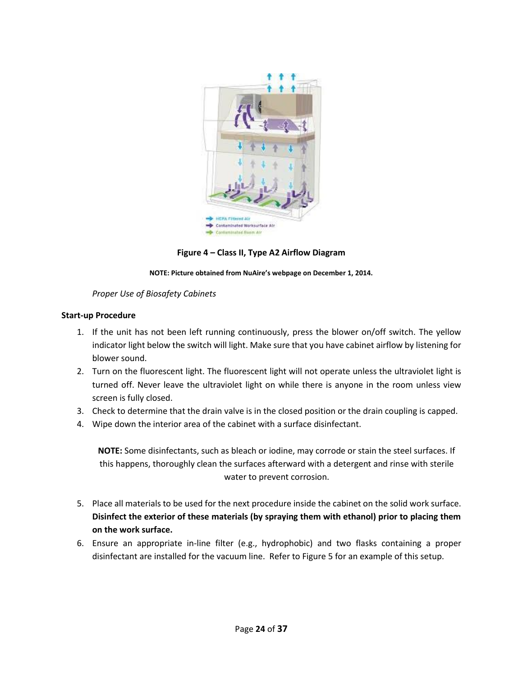

**Figure 4 – Class II, Type A2 Airflow Diagram**

#### **NOTE: Picture obtained from NuAire's webpage on December 1, 2014.**

#### *Proper Use of Biosafety Cabinets*

#### **Start-up Procedure**

- 1. If the unit has not been left running continuously, press the blower on/off switch. The yellow indicator light below the switch will light. Make sure that you have cabinet airflow by listening for blower sound.
- 2. Turn on the fluorescent light. The fluorescent light will not operate unless the ultraviolet light is turned off. Never leave the ultraviolet light on while there is anyone in the room unless view screen is fully closed.
- 3. Check to determine that the drain valve is in the closed position or the drain coupling is capped.
- 4. Wipe down the interior area of the cabinet with a surface disinfectant.

**NOTE:** Some disinfectants, such as bleach or iodine, may corrode or stain the steel surfaces. If this happens, thoroughly clean the surfaces afterward with a detergent and rinse with sterile water to prevent corrosion.

- 5. Place all materials to be used for the next procedure inside the cabinet on the solid work surface. **Disinfect the exterior of these materials (by spraying them with ethanol) prior to placing them on the work surface.**
- 6. Ensure an appropriate in-line filter (e.g., hydrophobic) and two flasks containing a proper disinfectant are installed for the vacuum line. Refer to Figure 5 for an example of this setup.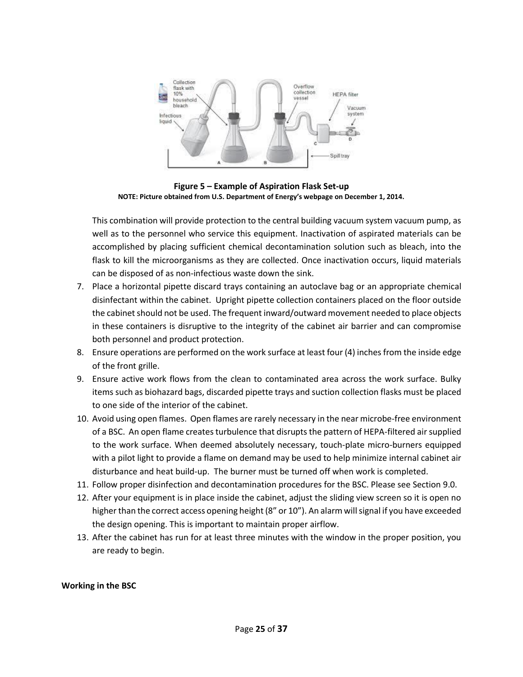

**Figure 5 – Example of Aspiration Flask Set-up NOTE: Picture obtained from U.S. Department of Energy's webpage on December 1, 2014.**

This combination will provide protection to the central building vacuum system vacuum pump, as well as to the personnel who service this equipment. Inactivation of aspirated materials can be accomplished by placing sufficient chemical decontamination solution such as bleach, into the flask to kill the microorganisms as they are collected. Once inactivation occurs, liquid materials can be disposed of as non-infectious waste down the sink.

- 7. Place a horizontal pipette discard trays containing an autoclave bag or an appropriate chemical disinfectant within the cabinet. Upright pipette collection containers placed on the floor outside the cabinet should not be used. The frequent inward/outward movement needed to place objects in these containers is disruptive to the integrity of the cabinet air barrier and can compromise both personnel and product protection.
- 8. Ensure operations are performed on the work surface at least four (4) inches from the inside edge of the front grille.
- 9. Ensure active work flows from the clean to contaminated area across the work surface. Bulky items such as biohazard bags, discarded pipette trays and suction collection flasks must be placed to one side of the interior of the cabinet.
- 10. Avoid using open flames. Open flames are rarely necessary in the near microbe-free environment of a BSC. An open flame creates turbulence that disrupts the pattern of HEPA-filtered air supplied to the work surface. When deemed absolutely necessary, touch-plate micro-burners equipped with a pilot light to provide a flame on demand may be used to help minimize internal cabinet air disturbance and heat build-up. The burner must be turned off when work is completed.
- 11. Follow proper disinfection and decontamination procedures for the BSC. Please see Section 9.0.
- 12. After your equipment is in place inside the cabinet, adjust the sliding view screen so it is open no higher than the correct access opening height (8" or 10"). An alarm will signal if you have exceeded the design opening. This is important to maintain proper airflow.
- 13. After the cabinet has run for at least three minutes with the window in the proper position, you are ready to begin.

#### **Working in the BSC**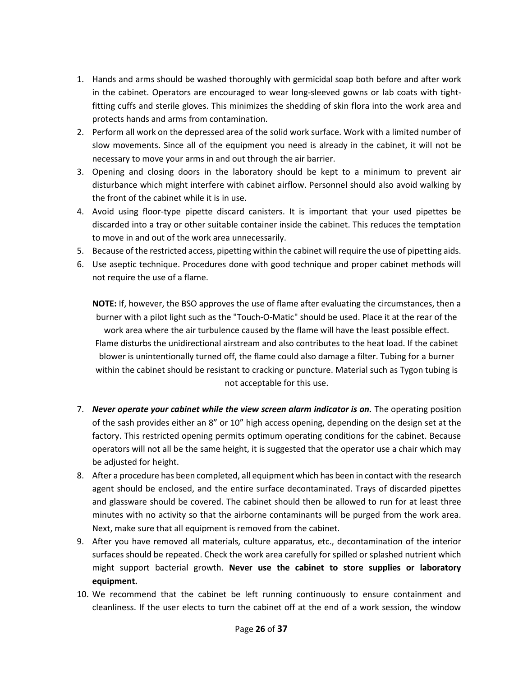- 1. Hands and arms should be washed thoroughly with germicidal soap both before and after work in the cabinet. Operators are encouraged to wear long-sleeved gowns or lab coats with tightfitting cuffs and sterile gloves. This minimizes the shedding of skin flora into the work area and protects hands and arms from contamination.
- 2. Perform all work on the depressed area of the solid work surface. Work with a limited number of slow movements. Since all of the equipment you need is already in the cabinet, it will not be necessary to move your arms in and out through the air barrier.
- 3. Opening and closing doors in the laboratory should be kept to a minimum to prevent air disturbance which might interfere with cabinet airflow. Personnel should also avoid walking by the front of the cabinet while it is in use.
- 4. Avoid using floor-type pipette discard canisters. It is important that your used pipettes be discarded into a tray or other suitable container inside the cabinet. This reduces the temptation to move in and out of the work area unnecessarily.
- 5. Because of the restricted access, pipetting within the cabinet will require the use of pipetting aids.
- 6. Use aseptic technique. Procedures done with good technique and proper cabinet methods will not require the use of a flame.

**NOTE:** If, however, the BSO approves the use of flame after evaluating the circumstances, then a burner with a pilot light such as the "Touch-O-Matic" should be used. Place it at the rear of the work area where the air turbulence caused by the flame will have the least possible effect. Flame disturbs the unidirectional airstream and also contributes to the heat load. If the cabinet blower is unintentionally turned off, the flame could also damage a filter. Tubing for a burner within the cabinet should be resistant to cracking or puncture. Material such as Tygon tubing is not acceptable for this use.

- 7. *Never operate your cabinet while the view screen alarm indicator is on*. The operating position of the sash provides either an 8" or 10" high access opening, depending on the design set at the factory. This restricted opening permits optimum operating conditions for the cabinet. Because operators will not all be the same height, it is suggested that the operator use a chair which may be adjusted for height.
- 8. After a procedure has been completed, all equipment which has been in contact with the research agent should be enclosed, and the entire surface decontaminated. Trays of discarded pipettes and glassware should be covered. The cabinet should then be allowed to run for at least three minutes with no activity so that the airborne contaminants will be purged from the work area. Next, make sure that all equipment is removed from the cabinet.
- 9. After you have removed all materials, culture apparatus, etc., decontamination of the interior surfaces should be repeated. Check the work area carefully for spilled or splashed nutrient which might support bacterial growth. **Never use the cabinet to store supplies or laboratory equipment.**
- 10. We recommend that the cabinet be left running continuously to ensure containment and cleanliness. If the user elects to turn the cabinet off at the end of a work session, the window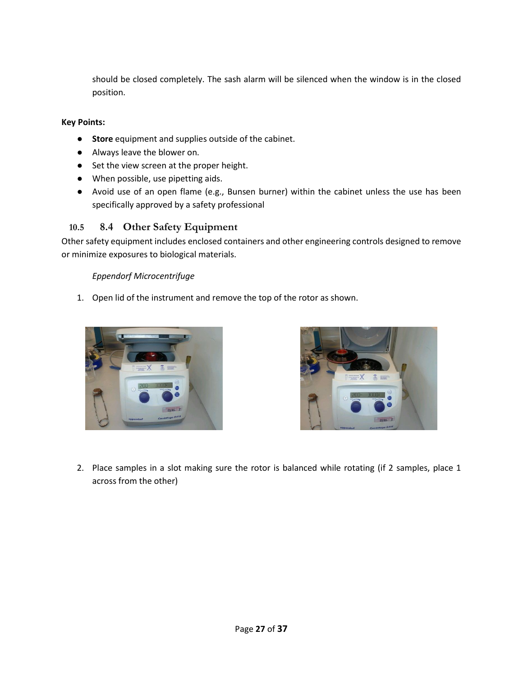should be closed completely. The sash alarm will be silenced when the window is in the closed position.

#### **Key Points:**

- **Store** equipment and supplies outside of the cabinet.
- Always leave the blower on.
- Set the view screen at the proper height.
- When possible, use pipetting aids.
- Avoid use of an open flame (e.g., Bunsen burner) within the cabinet unless the use has been specifically approved by a safety professional

## **10.5 8.4 Other Safety Equipment**

Other safety equipment includes enclosed containers and other engineering controls designed to remove or minimize exposures to biological materials.

#### *Eppendorf Microcentrifuge*

1. Open lid of the instrument and remove the top of the rotor as shown.





2. Place samples in a slot making sure the rotor is balanced while rotating (if 2 samples, place 1 across from the other)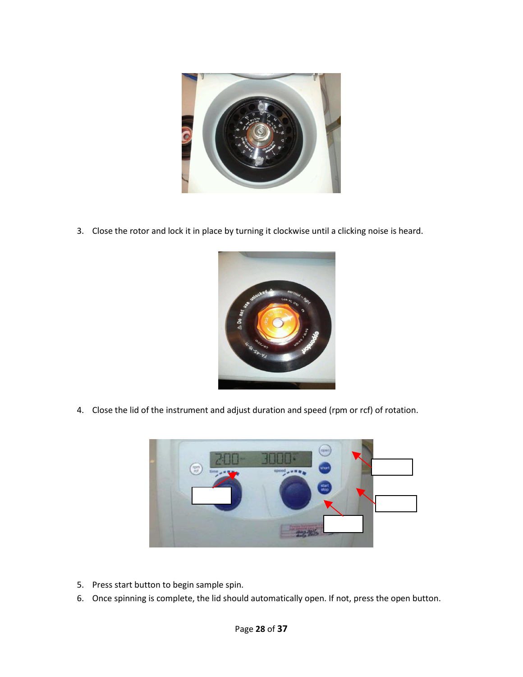

3. Close the rotor and lock it in place by turning it clockwise until a clicking noise is heard.



4. Close the lid of the instrument and adjust duration and speed (rpm or rcf) of rotation.



- 5. Press start button to begin sample spin.
- 6. Once spinning is complete, the lid should automatically open. If not, press the open button.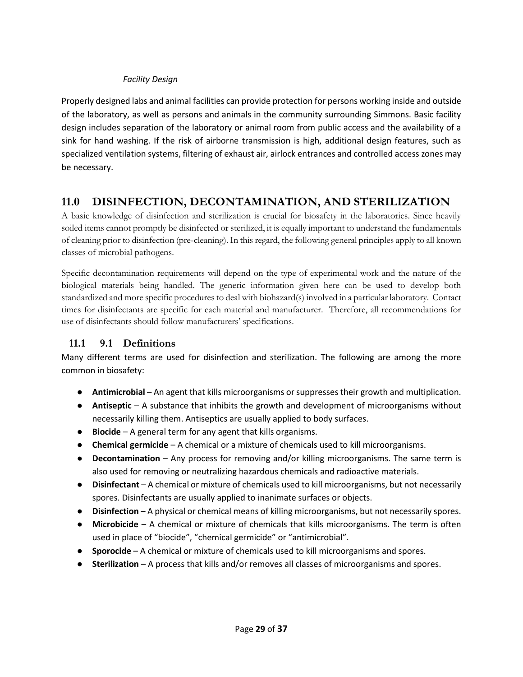#### *Facility Design*

Properly designed labs and animal facilities can provide protection for persons working inside and outside of the laboratory, as well as persons and animals in the community surrounding Simmons. Basic facility design includes separation of the laboratory or animal room from public access and the availability of a sink for hand washing. If the risk of airborne transmission is high, additional design features, such as specialized ventilation systems, filtering of exhaust air, airlock entrances and controlled access zones may be necessary.

# <span id="page-29-0"></span>**11.0 DISINFECTION, DECONTAMINATION, AND STERILIZATION**

A basic knowledge of disinfection and sterilization is crucial for biosafety in the laboratories. Since heavily soiled items cannot promptly be disinfected or sterilized, it is equally important to understand the fundamentals of cleaning prior to disinfection (pre-cleaning). In this regard, the following general principles apply to all known classes of microbial pathogens.

Specific decontamination requirements will depend on the type of experimental work and the nature of the biological materials being handled. The generic information given here can be used to develop both standardized and more specific procedures to deal with biohazard(s) involved in a particular laboratory. Contact times for disinfectants are specific for each material and manufacturer. Therefore, all recommendations for use of disinfectants should follow manufacturers' specifications.

## **11.1 9.1 Definitions**

Many different terms are used for disinfection and sterilization. The following are among the more common in biosafety:

- **Antimicrobial**  An agent that kills microorganisms or suppresses their growth and multiplication.
- **Antiseptic**  A substance that inhibits the growth and development of microorganisms without necessarily killing them. Antiseptics are usually applied to body surfaces.
- **Biocide**  A general term for any agent that kills organisms.
- **Chemical germicide**  A chemical or a mixture of chemicals used to kill microorganisms.
- **Decontamination**  Any process for removing and/or killing microorganisms. The same term is also used for removing or neutralizing hazardous chemicals and radioactive materials.
- **Disinfectant**  A chemical or mixture of chemicals used to kill microorganisms, but not necessarily spores. Disinfectants are usually applied to inanimate surfaces or objects.
- **Disinfection**  A physical or chemical means of killing microorganisms, but not necessarily spores.
- **Microbicide**  A chemical or mixture of chemicals that kills microorganisms. The term is often used in place of "biocide", "chemical germicide" or "antimicrobial".
- **Sporocide**  A chemical or mixture of chemicals used to kill microorganisms and spores.
- **Sterilization**  A process that kills and/or removes all classes of microorganisms and spores.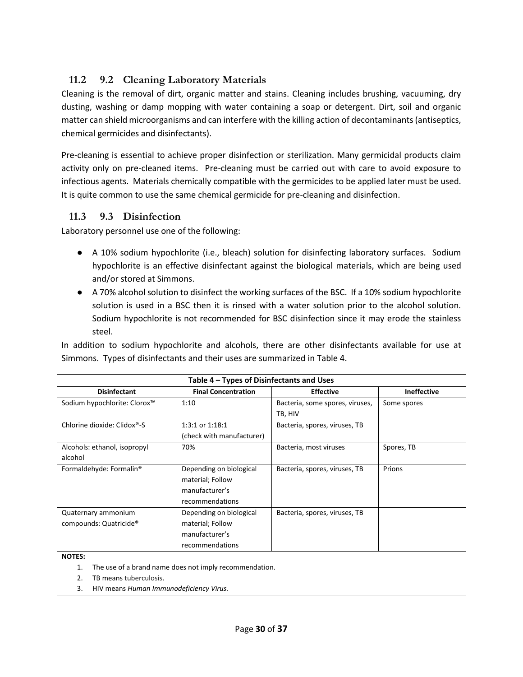## **11.2 9.2 Cleaning Laboratory Materials**

Cleaning is the removal of dirt, organic matter and stains. Cleaning includes brushing, vacuuming, dry dusting, washing or damp mopping with water containing a soap or detergent. Dirt, soil and organic matter can shield microorganisms and can interfere with the killing action of decontaminants (antiseptics, chemical germicides and disinfectants).

Pre-cleaning is essential to achieve proper disinfection or sterilization. Many germicidal products claim activity only on pre-cleaned items. Pre-cleaning must be carried out with care to avoid exposure to infectious agents. Materials chemically compatible with the germicides to be applied later must be used. It is quite common to use the same chemical germicide for pre-cleaning and disinfection.

## **11.3 9.3 Disinfection**

Laboratory personnel use one of the following:

- A 10% sodium hypochlorite (i.e., bleach) solution for disinfecting laboratory surfaces. Sodium hypochlorite is an effective disinfectant against the biological materials, which are being used and/or stored at Simmons.
- A 70% alcohol solution to disinfect the working surfaces of the BSC. If a 10% sodium hypochlorite solution is used in a BSC then it is rinsed with a water solution prior to the alcohol solution. Sodium hypochlorite is not recommended for BSC disinfection since it may erode the stainless steel.

In addition to sodium hypochlorite and alcohols, there are other disinfectants available for use at Simmons. Types of disinfectants and their uses are summarized in Table 4.

| Table 4 – Types of Disinfectants and Uses |                                                        |                                 |                    |
|-------------------------------------------|--------------------------------------------------------|---------------------------------|--------------------|
| <b>Disinfectant</b>                       | <b>Final Concentration</b>                             | <b>Effective</b>                | <b>Ineffective</b> |
| Sodium hypochlorite: Clorox™              | 1:10                                                   | Bacteria, some spores, viruses, | Some spores        |
|                                           |                                                        | TB, HIV                         |                    |
| Chlorine dioxide: Clidox®-S               | $1:3:1$ or $1:18:1$                                    | Bacteria, spores, viruses, TB   |                    |
|                                           | (check with manufacturer)                              |                                 |                    |
| Alcohols: ethanol, isopropyl              | 70%                                                    | Bacteria, most viruses          | Spores, TB         |
| alcohol                                   |                                                        |                                 |                    |
| Formaldehyde: Formalin <sup>®</sup>       | Depending on biological                                | Bacteria, spores, viruses, TB   | Prions             |
|                                           | material; Follow                                       |                                 |                    |
|                                           | manufacturer's                                         |                                 |                    |
|                                           | recommendations                                        |                                 |                    |
| Quaternary ammonium                       | Depending on biological                                | Bacteria, spores, viruses, TB   |                    |
| compounds: Quatricide <sup>®</sup>        | material; Follow                                       |                                 |                    |
|                                           | manufacturer's                                         |                                 |                    |
|                                           | recommendations                                        |                                 |                    |
| <b>NOTES:</b>                             |                                                        |                                 |                    |
| 1.                                        | The use of a brand name does not imply recommendation. |                                 |                    |
|                                           |                                                        |                                 |                    |

2. TB means tuberculosis.

3. HIV means *Human Immunodeficiency Virus.*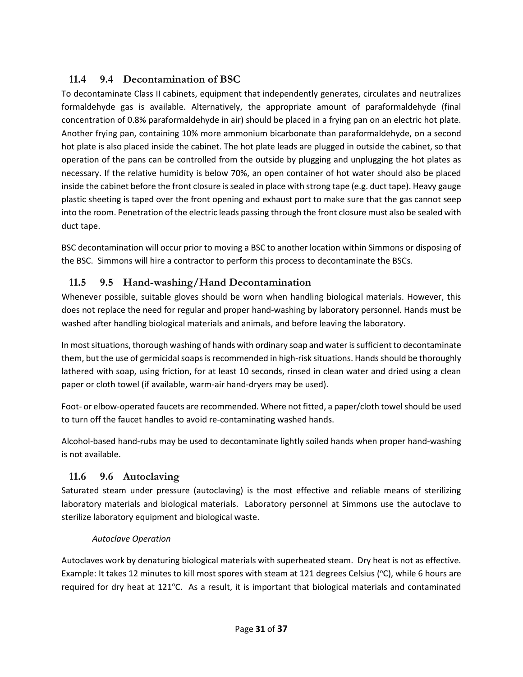## **11.4 9.4 Decontamination of BSC**

To decontaminate Class II cabinets, equipment that independently generates, circulates and neutralizes formaldehyde gas is available. Alternatively, the appropriate amount of paraformaldehyde (final concentration of 0.8% paraformaldehyde in air) should be placed in a frying pan on an electric hot plate. Another frying pan, containing 10% more ammonium bicarbonate than paraformaldehyde, on a second hot plate is also placed inside the cabinet. The hot plate leads are plugged in outside the cabinet, so that operation of the pans can be controlled from the outside by plugging and unplugging the hot plates as necessary. If the relative humidity is below 70%, an open container of hot water should also be placed inside the cabinet before the front closure is sealed in place with strong tape (e.g. duct tape). Heavy gauge plastic sheeting is taped over the front opening and exhaust port to make sure that the gas cannot seep into the room. Penetration of the electric leads passing through the front closure must also be sealed with duct tape.

BSC decontamination will occur prior to moving a BSC to another location within Simmons or disposing of the BSC. Simmons will hire a contractor to perform this process to decontaminate the BSCs.

## **11.5 9.5 Hand-washing/Hand Decontamination**

Whenever possible, suitable gloves should be worn when handling biological materials. However, this does not replace the need for regular and proper hand-washing by laboratory personnel. Hands must be washed after handling biological materials and animals, and before leaving the laboratory.

In most situations, thorough washing of hands with ordinary soap and water is sufficient to decontaminate them, but the use of germicidal soaps is recommended in high-risk situations. Hands should be thoroughly lathered with soap, using friction, for at least 10 seconds, rinsed in clean water and dried using a clean paper or cloth towel (if available, warm-air hand-dryers may be used).

Foot- or elbow-operated faucets are recommended. Where not fitted, a paper/cloth towel should be used to turn off the faucet handles to avoid re-contaminating washed hands.

Alcohol-based hand-rubs may be used to decontaminate lightly soiled hands when proper hand-washing is not available.

## **11.6 9.6 Autoclaving**

Saturated steam under pressure (autoclaving) is the most effective and reliable means of sterilizing laboratory materials and biological materials. Laboratory personnel at Simmons use the autoclave to sterilize laboratory equipment and biological waste.

## *Autoclave Operation*

Autoclaves work by denaturing biological materials with superheated steam. Dry heat is not as effective. Example: It takes 12 minutes to kill most spores with steam at 121 degrees Celsius ( $\degree$ C), while 6 hours are required for dry heat at 121°C. As a result, it is important that biological materials and contaminated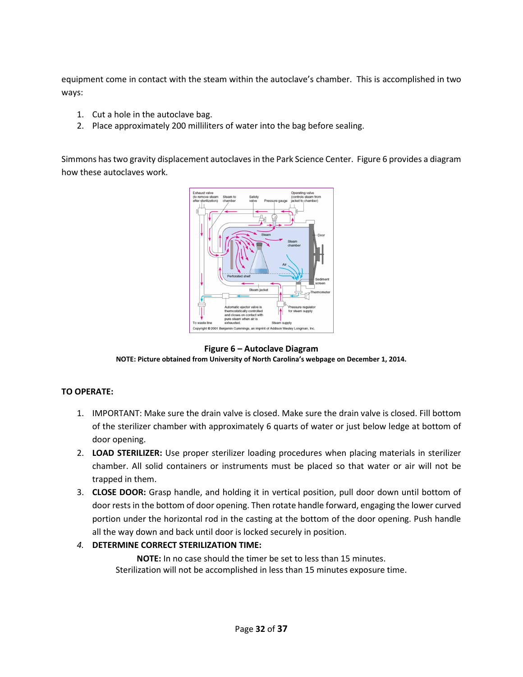equipment come in contact with the steam within the autoclave's chamber. This is accomplished in two ways:

- 1. Cut a hole in the autoclave bag.
- 2. Place approximately 200 milliliters of water into the bag before sealing.

Simmons has two gravity displacement autoclaves in the Park Science Center. Figure 6 provides a diagram how these autoclaves work.



**Figure 6 – Autoclave Diagram NOTE: Picture obtained from University of North Carolina's webpage on December 1, 2014.**

#### **TO OPERATE:**

- 1. IMPORTANT: Make sure the drain valve is closed. Make sure the drain valve is closed. Fill bottom of the sterilizer chamber with approximately 6 quarts of water or just below ledge at bottom of door opening.
- 2. **LOAD STERILIZER:** Use proper sterilizer loading procedures when placing materials in sterilizer chamber. All solid containers or instruments must be placed so that water or air will not be trapped in them.
- 3. **CLOSE DOOR:** Grasp handle, and holding it in vertical position, pull door down until bottom of door rests in the bottom of door opening. Then rotate handle forward, engaging the lower curved portion under the horizontal rod in the casting at the bottom of the door opening. Push handle all the way down and back until door is locked securely in position.

#### *4.* **DETERMINE CORRECT STERILIZATION TIME:**

**NOTE:** In no case should the timer be set to less than 15 minutes. Sterilization will not be accomplished in less than 15 minutes exposure time.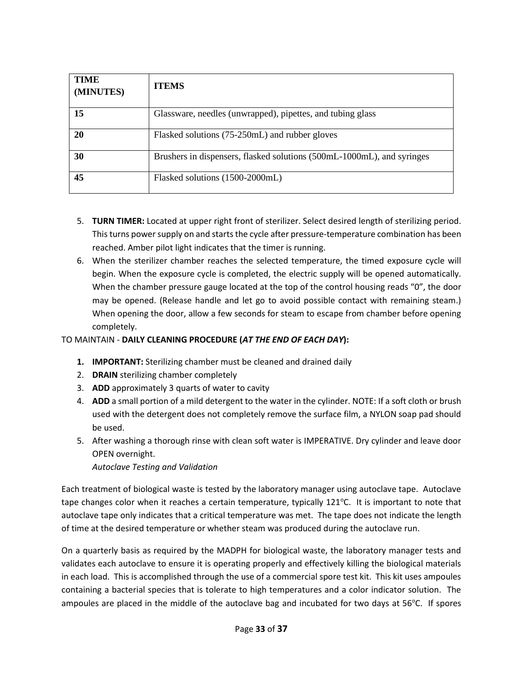| <b>TIME</b><br>(MINUTES) | <b>ITEMS</b>                                                           |
|--------------------------|------------------------------------------------------------------------|
| 15                       | Glassware, needles (unwrapped), pipettes, and tubing glass             |
| 20                       | Flasked solutions (75-250mL) and rubber gloves                         |
| 30                       | Brushers in dispensers, flasked solutions (500mL-1000mL), and syringes |
| 45                       | Flasked solutions (1500-2000mL)                                        |

- 5. **TURN TIMER:** Located at upper right front of sterilizer. Select desired length of sterilizing period. This turns power supply on and starts the cycle after pressure-temperature combination has been reached. Amber pilot light indicates that the timer is running.
- 6. When the sterilizer chamber reaches the selected temperature, the timed exposure cycle will begin. When the exposure cycle is completed, the electric supply will be opened automatically. When the chamber pressure gauge located at the top of the control housing reads "0", the door may be opened. (Release handle and let go to avoid possible contact with remaining steam.) When opening the door, allow a few seconds for steam to escape from chamber before opening completely.

#### TO MAINTAIN - **DAILY CLEANING PROCEDURE (***AT THE END OF EACH DAY***):**

- **1. IMPORTANT:** Sterilizing chamber must be cleaned and drained daily
- 2. **DRAIN** sterilizing chamber completely
- 3. **ADD** approximately 3 quarts of water to cavity
- 4. **ADD** a small portion of a mild detergent to the water in the cylinder. NOTE: If a soft cloth or brush used with the detergent does not completely remove the surface film, a NYLON soap pad should be used.
- 5. After washing a thorough rinse with clean soft water is IMPERATIVE. Dry cylinder and leave door OPEN overnight.

*Autoclave Testing and Validation*

Each treatment of biological waste is tested by the laboratory manager using autoclave tape. Autoclave tape changes color when it reaches a certain temperature, typically  $121^{\circ}$ C. It is important to note that autoclave tape only indicates that a critical temperature was met. The tape does not indicate the length of time at the desired temperature or whether steam was produced during the autoclave run.

On a quarterly basis as required by the MADPH for biological waste, the laboratory manager tests and validates each autoclave to ensure it is operating properly and effectively killing the biological materials in each load. This is accomplished through the use of a commercial spore test kit. This kit uses ampoules containing a bacterial species that is tolerate to high temperatures and a color indicator solution. The ampoules are placed in the middle of the autoclave bag and incubated for two days at  $56^{\circ}$ C. If spores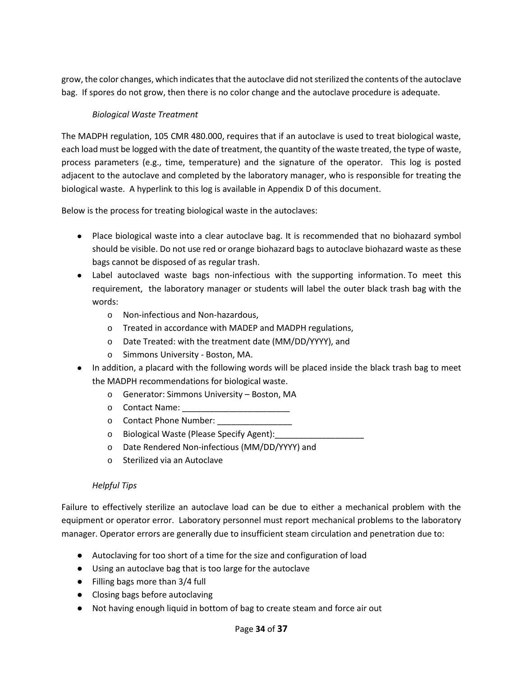grow, the color changes, which indicates that the autoclave did not sterilized the contents of the autoclave bag. If spores do not grow, then there is no color change and the autoclave procedure is adequate.

#### *Biological Waste Treatment*

The MADPH regulation, 105 CMR 480.000, requires that if an autoclave is used to treat biological waste, each load must be logged with the date of treatment, the quantity of the waste treated, the type of waste, process parameters (e.g., time, temperature) and the signature of the operator. This log is posted adjacent to the autoclave and completed by the laboratory manager, who is responsible for treating the biological waste. A hyperlink to this log is available in Appendix D of this document.

Below is the process for treating biological waste in the autoclaves:

- Place biological waste into a clear autoclave bag. It is recommended that no biohazard symbol should be visible. Do not use red or orange biohazard bags to autoclave biohazard waste as these bags cannot be disposed of as regular trash.
- Label autoclaved waste bags non-infectious with the supporting information. To meet this requirement, the laboratory manager or students will label the outer black trash bag with the words:
	- o Non-infectious and Non-hazardous,
	- o Treated in accordance with MADEP and MADPH regulations,
	- o Date Treated: with the treatment date (MM/DD/YYYY), and
	- o Simmons University Boston, MA.
- In addition, a placard with the following words will be placed inside the black trash bag to meet the MADPH recommendations for biological waste.
	- o Generator: Simmons University Boston, MA
	- o Contact Name:
	- o Contact Phone Number:
	- o Biological Waste (Please Specify Agent):
	- o Date Rendered Non-infectious (MM/DD/YYYY) and
	- o Sterilized via an Autoclave

#### *Helpful Tips*

Failure to effectively sterilize an autoclave load can be due to either a mechanical problem with the equipment or operator error. Laboratory personnel must report mechanical problems to the laboratory manager. Operator errors are generally due to insufficient steam circulation and penetration due to:

- Autoclaving for too short of a time for the size and configuration of load
- Using an autoclave bag that is too large for the autoclave
- Filling bags more than 3/4 full
- Closing bags before autoclaving
- Not having enough liquid in bottom of bag to create steam and force air out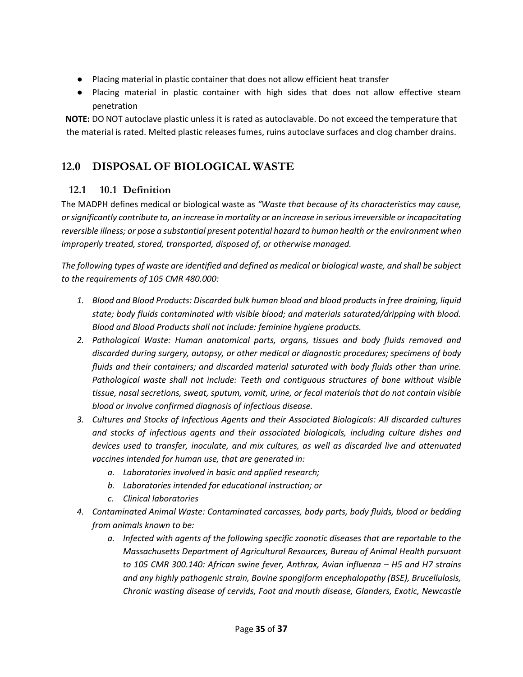- Placing material in plastic container that does not allow efficient heat transfer
- Placing material in plastic container with high sides that does not allow effective steam penetration

**NOTE:** DO NOT autoclave plastic unless it is rated as autoclavable. Do not exceed the temperature that the material is rated. Melted plastic releases fumes, ruins autoclave surfaces and clog chamber drains.

# <span id="page-35-0"></span>**12.0 DISPOSAL OF BIOLOGICAL WASTE**

## **12.1 10.1 Definition**

The MADPH defines medical or biological waste as *"Waste that because of its characteristics may cause, or significantly contribute to, an increase in mortality or an increase in serious irreversible or incapacitating reversible illness; or pose a substantial present potential hazard to human health or the environment when improperly treated, stored, transported, disposed of, or otherwise managed.*

*The following types of waste are identified and defined as medical or biological waste, and shall be subject to the requirements of 105 CMR 480.000:*

- *1. Blood and Blood Products: Discarded bulk human blood and blood products in free draining, liquid state; body fluids contaminated with visible blood; and materials saturated/dripping with blood. Blood and Blood Products shall not include: feminine hygiene products.*
- *2. Pathological Waste: Human anatomical parts, organs, tissues and body fluids removed and discarded during surgery, autopsy, or other medical or diagnostic procedures; specimens of body fluids and their containers; and discarded material saturated with body fluids other than urine. Pathological waste shall not include: Teeth and contiguous structures of bone without visible tissue, nasal secretions, sweat, sputum, vomit, urine, or fecal materials that do not contain visible blood or involve confirmed diagnosis of infectious disease.*
- *3. Cultures and Stocks of Infectious Agents and their Associated Biologicals: All discarded cultures and stocks of infectious agents and their associated biologicals, including culture dishes and devices used to transfer, inoculate, and mix cultures, as well as discarded live and attenuated vaccines intended for human use, that are generated in:*
	- *a. Laboratories involved in basic and applied research;*
	- *b. Laboratories intended for educational instruction; or*
	- *c. Clinical laboratories*
- *4. Contaminated Animal Waste: Contaminated carcasses, body parts, body fluids, blood or bedding from animals known to be:*
	- *a. Infected with agents of the following specific zoonotic diseases that are reportable to the Massachusetts Department of Agricultural Resources, Bureau of Animal Health pursuant to 105 CMR 300.140: African swine fever, Anthrax, Avian influenza – H5 and H7 strains and any highly pathogenic strain, Bovine spongiform encephalopathy (BSE), Brucellulosis, Chronic wasting disease of cervids, Foot and mouth disease, Glanders, Exotic, Newcastle*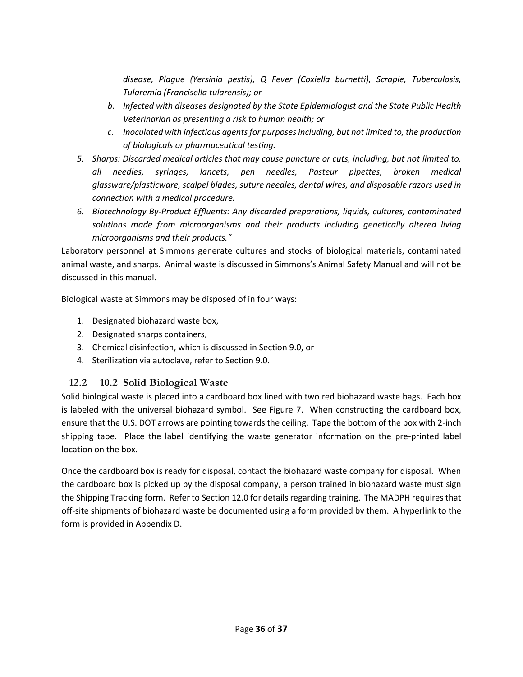*disease, Plague (Yersinia pestis), Q Fever (Coxiella burnetti), Scrapie, Tuberculosis, Tularemia (Francisella tularensis); or*

- *b. Infected with diseases designated by the State Epidemiologist and the State Public Health Veterinarian as presenting a risk to human health; or*
- *c. Inoculated with infectious agents for purposes including, but not limited to, the production of biologicals or pharmaceutical testing.*
- *5. Sharps: Discarded medical articles that may cause puncture or cuts, including, but not limited to, all needles, syringes, lancets, pen needles, Pasteur pipettes, broken medical glassware/plasticware, scalpel blades, suture needles, dental wires, and disposable razors used in connection with a medical procedure.*
- *6. Biotechnology By-Product Effluents: Any discarded preparations, liquids, cultures, contaminated solutions made from microorganisms and their products including genetically altered living microorganisms and their products."*

Laboratory personnel at Simmons generate cultures and stocks of biological materials, contaminated animal waste, and sharps. Animal waste is discussed in Simmons's Animal Safety Manual and will not be discussed in this manual.

Biological waste at Simmons may be disposed of in four ways:

- 1. Designated biohazard waste box,
- 2. Designated sharps containers,
- 3. Chemical disinfection, which is discussed in Section 9.0, or
- 4. Sterilization via autoclave, refer to Section 9.0.

## **12.2 10.2 Solid Biological Waste**

Solid biological waste is placed into a cardboard box lined with two red biohazard waste bags. Each box is labeled with the universal biohazard symbol. See Figure 7. When constructing the cardboard box, ensure that the U.S. DOT arrows are pointing towards the ceiling. Tape the bottom of the box with 2-inch shipping tape. Place the label identifying the waste generator information on the pre-printed label location on the box.

Once the cardboard box is ready for disposal, contact the biohazard waste company for disposal. When the cardboard box is picked up by the disposal company, a person trained in biohazard waste must sign the Shipping Tracking form. Refer to Section 12.0 for details regarding training. The MADPH requires that off-site shipments of biohazard waste be documented using a form provided by them. A hyperlink to the form is provided in Appendix D.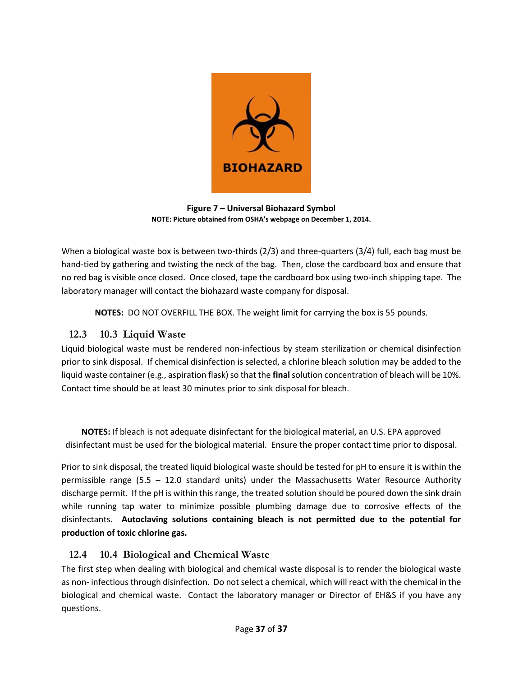

**Figure 7 – Universal Biohazard Symbol NOTE: Picture obtained from OSHA's webpage on December 1, 2014.**

When a biological waste box is between two-thirds (2/3) and three-quarters (3/4) full, each bag must be hand-tied by gathering and twisting the neck of the bag. Then, close the cardboard box and ensure that no red bag is visible once closed. Once closed, tape the cardboard box using two-inch shipping tape. The laboratory manager will contact the biohazard waste company for disposal.

**NOTES:** DO NOT OVERFILL THE BOX. The weight limit for carrying the box is 55 pounds.

## **12.3 10.3 Liquid Waste**

Liquid biological waste must be rendered non-infectious by steam sterilization or chemical disinfection prior to sink disposal. If chemical disinfection is selected, a chlorine bleach solution may be added to the liquid waste container (e.g., aspiration flask) so that the **final**solution concentration of bleach will be 10%. Contact time should be at least 30 minutes prior to sink disposal for bleach.

**NOTES:** If bleach is not adequate disinfectant for the biological material, an U.S. EPA approved disinfectant must be used for the biological material. Ensure the proper contact time prior to disposal.

Prior to sink disposal, the treated liquid biological waste should be tested for pH to ensure it is within the permissible range (5.5 – 12.0 standard units) under the Massachusetts Water Resource Authority discharge permit. If the pH is within this range, the treated solution should be poured down the sink drain while running tap water to minimize possible plumbing damage due to corrosive effects of the disinfectants. **Autoclaving solutions containing bleach is not permitted due to the potential for production of toxic chlorine gas.**

## **12.4 10.4 Biological and Chemical Waste**

The first step when dealing with biological and chemical waste disposal is to render the biological waste as non- infectious through disinfection. Do not select a chemical, which will react with the chemical in the biological and chemical waste. Contact the laboratory manager or Director of EH&S if you have any questions.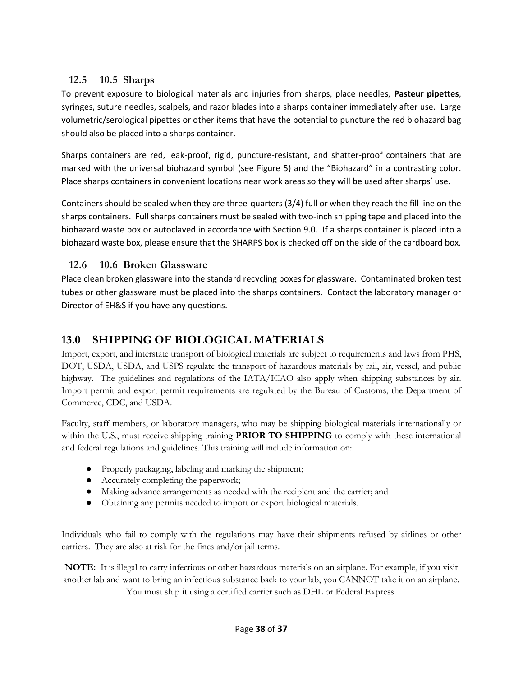## **12.5 10.5 Sharps**

To prevent exposure to biological materials and injuries from sharps, place needles, **Pasteur pipettes**, syringes, suture needles, scalpels, and razor blades into a sharps container immediately after use. Large volumetric/serological pipettes or other items that have the potential to puncture the red biohazard bag should also be placed into a sharps container.

Sharps containers are red, leak-proof, rigid, puncture-resistant, and shatter-proof containers that are marked with the universal biohazard symbol (see Figure 5) and the "Biohazard" in a contrasting color. Place sharps containers in convenient locations near work areas so they will be used after sharps' use.

Containers should be sealed when they are three-quarters (3/4) full or when they reach the fill line on the sharps containers. Full sharps containers must be sealed with two-inch shipping tape and placed into the biohazard waste box or autoclaved in accordance with Section 9.0. If a sharps container is placed into a biohazard waste box, please ensure that the SHARPS box is checked off on the side of the cardboard box.

## **12.6 10.6 Broken Glassware**

Place clean broken glassware into the standard recycling boxes for glassware. Contaminated broken test tubes or other glassware must be placed into the sharps containers. Contact the laboratory manager or Director of EH&S if you have any questions.

# <span id="page-38-0"></span>**13.0 SHIPPING OF BIOLOGICAL MATERIALS**

Import, export, and interstate transport of biological materials are subject to requirements and laws from PHS, DOT, USDA, USDA, and USPS regulate the transport of hazardous materials by rail, air, vessel, and public highway. The guidelines and regulations of the IATA/ICAO also apply when shipping substances by air. Import permit and export permit requirements are regulated by the Bureau of Customs, the Department of Commerce, CDC, and USDA.

Faculty, staff members, or laboratory managers, who may be shipping biological materials internationally or within the U.S., must receive shipping training **PRIOR TO SHIPPING** to comply with these international and federal regulations and guidelines. This training will include information on:

- Properly packaging, labeling and marking the shipment;
- Accurately completing the paperwork;
- Making advance arrangements as needed with the recipient and the carrier; and
- Obtaining any permits needed to import or export biological materials.

Individuals who fail to comply with the regulations may have their shipments refused by airlines or other carriers. They are also at risk for the fines and/or jail terms.

**NOTE:** It is illegal to carry infectious or other hazardous materials on an airplane. For example, if you visit another lab and want to bring an infectious substance back to your lab, you CANNOT take it on an airplane. You must ship it using a certified carrier such as DHL or Federal Express.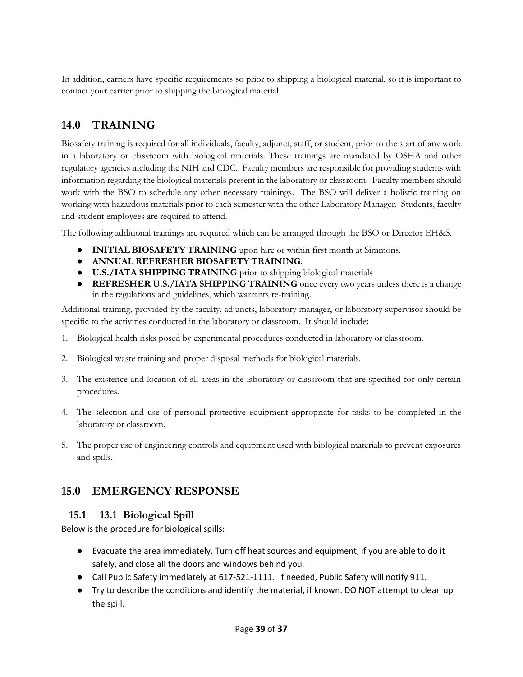In addition, carriers have specific requirements so prior to shipping a biological material, so it is important to contact your carrier prior to shipping the biological material.

# <span id="page-39-0"></span>**14.0 TRAINING**

Biosafety training is required for all individuals, faculty, adjunct, staff, or student, prior to the start of any work in a laboratory or classroom with biological materials. These trainings are mandated by OSHA and other regulatory agencies including the NIH and CDC. Faculty members are responsible for providing students with information regarding the biological materials present in the laboratory or classroom. Faculty members should work with the BSO to schedule any other necessary trainings. The BSO will deliver a holistic training on working with hazardous materials prior to each semester with the other Laboratory Manager. Students, faculty and student employees are required to attend.

The following additional trainings are required which can be arranged through the BSO or Director EH&S.

- **INITIAL BIOSAFETY TRAINING** upon hire or within first month at Simmons.
- **ANNUAL REFRESHER BIOSAFETY TRAINING**.
- **U.S./IATA SHIPPING TRAINING** prior to shipping biological materials
- **REFRESHER U.S./IATA SHIPPING TRAINING** once every two years unless there is a change in the regulations and guidelines, which warrants re-training.

Additional training, provided by the faculty, adjuncts, laboratory manager, or laboratory supervisor should be specific to the activities conducted in the laboratory or classroom. It should include:

- 1. Biological health risks posed by experimental procedures conducted in laboratory or classroom.
- 2. Biological waste training and proper disposal methods for biological materials.
- 3. The existence and location of all areas in the laboratory or classroom that are specified for only certain procedures.
- 4. The selection and use of personal protective equipment appropriate for tasks to be completed in the laboratory or classroom.
- 5. The proper use of engineering controls and equipment used with biological materials to prevent exposures and spills.

## <span id="page-39-1"></span>**15.0 EMERGENCY RESPONSE**

## **15.1 13.1 Biological Spill**

Below is the procedure for biological spills:

- Evacuate the area immediately. Turn off heat sources and equipment, if you are able to do it safely, and close all the doors and windows behind you.
- Call Public Safety immediately at 617-521-1111. If needed, Public Safety will notify 911.
- Try to describe the conditions and identify the material, if known. DO NOT attempt to clean up the spill.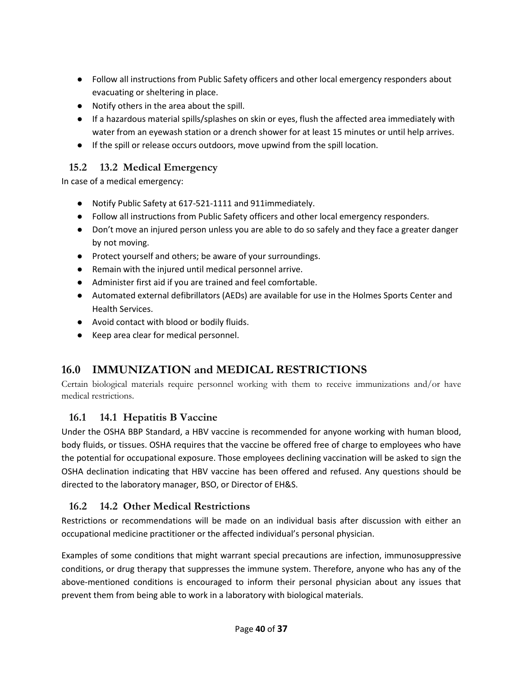- Follow all instructions from Public Safety officers and other local emergency responders about evacuating or sheltering in place.
- Notify others in the area about the spill.
- If a hazardous material spills/splashes on skin or eyes, flush the affected area immediately with water from an eyewash station or a drench shower for at least 15 minutes or until help arrives.
- If the spill or release occurs outdoors, move upwind from the spill location.

## **15.2 13.2 Medical Emergency**

In case of a medical emergency:

- Notify Public Safety at 617-521-1111 and 911immediately.
- Follow all instructions from Public Safety officers and other local emergency responders.
- Don't move an injured person unless you are able to do so safely and they face a greater danger by not moving.
- Protect yourself and others; be aware of your surroundings.
- Remain with the injured until medical personnel arrive.
- Administer first aid if you are trained and feel comfortable.
- Automated external defibrillators (AEDs) are available for use in the Holmes Sports Center and Health Services.
- Avoid contact with blood or bodily fluids.
- Keep area clear for medical personnel.

# <span id="page-40-0"></span>**16.0 IMMUNIZATION and MEDICAL RESTRICTIONS**

Certain biological materials require personnel working with them to receive immunizations and/or have medical restrictions.

## **16.1 14.1 Hepatitis B Vaccine**

Under the OSHA BBP Standard, a HBV vaccine is recommended for anyone working with human blood, body fluids, or tissues. OSHA requires that the vaccine be offered free of charge to employees who have the potential for occupational exposure. Those employees declining vaccination will be asked to sign the OSHA declination indicating that HBV vaccine has been offered and refused. Any questions should be directed to the laboratory manager, BSO, or Director of EH&S.

## **16.2 14.2 Other Medical Restrictions**

Restrictions or recommendations will be made on an individual basis after discussion with either an occupational medicine practitioner or the affected individual's personal physician.

Examples of some conditions that might warrant special precautions are infection, immunosuppressive conditions, or drug therapy that suppresses the immune system. Therefore, anyone who has any of the above-mentioned conditions is encouraged to inform their personal physician about any issues that prevent them from being able to work in a laboratory with biological materials.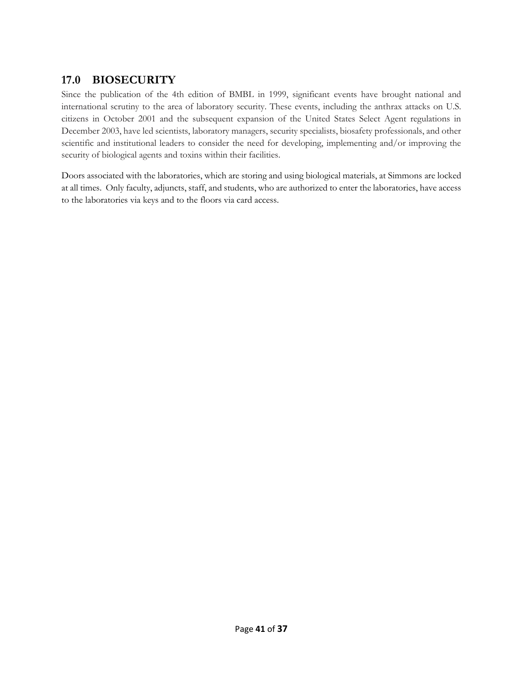# <span id="page-41-0"></span>**17.0 BIOSECURITY**

Since the publication of the 4th edition of BMBL in 1999, significant events have brought national and international scrutiny to the area of laboratory security. These events, including the anthrax attacks on U.S. citizens in October 2001 and the subsequent expansion of the United States Select Agent regulations in December 2003, have led scientists, laboratory managers, security specialists, biosafety professionals, and other scientific and institutional leaders to consider the need for developing, implementing and/or improving the security of biological agents and toxins within their facilities.

Doors associated with the laboratories, which are storing and using biological materials, at Simmons are locked at all times. Only faculty, adjuncts, staff, and students, who are authorized to enter the laboratories, have access to the laboratories via keys and to the floors via card access.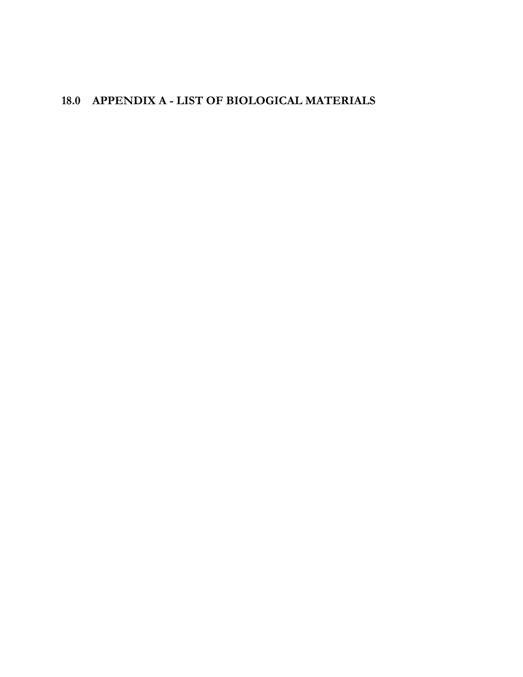# <span id="page-42-0"></span>**18.0 APPENDIX A - LIST OF BIOLOGICAL MATERIALS**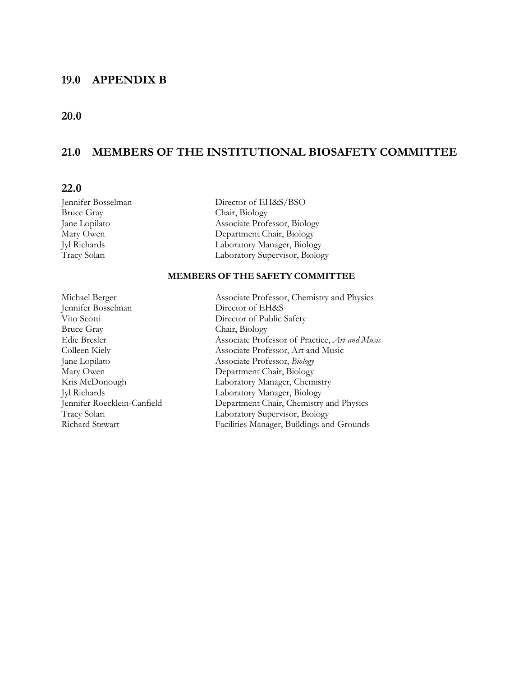#### <span id="page-43-0"></span>**19.0 APPENDIX B**

#### <span id="page-43-1"></span>**20.0**

## **21.0 MEMBERS OF THE INSTITUTIONAL BIOSAFETY COMMITTEE**

#### **22.0**

| Jennifer Bosselman | Director of EH&S/BSO           |
|--------------------|--------------------------------|
| Bruce Gray         | Chair, Biology                 |
| Jane Lopilato      | Associate Professor, Biology   |
| Mary Owen          | Department Chair, Biology      |
| Jyl Richards       | Laboratory Manager, Biology    |
| Tracy Solari       | Laboratory Supervisor, Biology |
|                    |                                |

#### **MEMBERS OF THE SAFETY COMMITTEE**

Jennifer Bosselman Director of EH&S Vito Scotti Director of Public Safety Bruce Gray Chair, Biology<br>Edie Bresler Associate Prof

Michael Berger Associate Professor, Chemistry and Physics Associate Professor of Practice, *Art and Music* Colleen Kiely Associate Professor, Art and Music<br>Jane Lopilato Associate Professor, Biology Associate Professor, *Biology* Mary Owen Department Chair, Biology Kris McDonough Laboratory Manager, Chemistry Jyl Richards Laboratory Manager, Biology Jennifer Roecklein-Canfield Department Chair, Chemistry and Physics Tracy Solari Laboratory Supervisor, Biology<br>Richard Stewart Facilities Manager, Buildings an Facilities Manager, Buildings and Grounds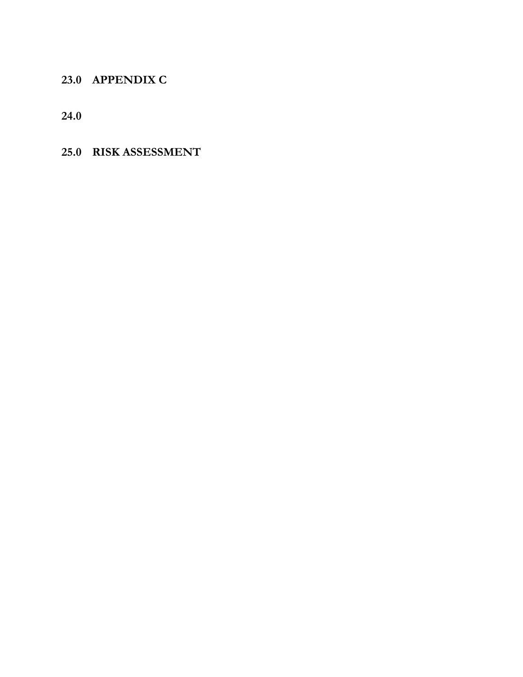<span id="page-44-0"></span>**23.0 APPENDIX C**

<span id="page-44-1"></span>**24.0**

**25.0 RISK ASSESSMENT**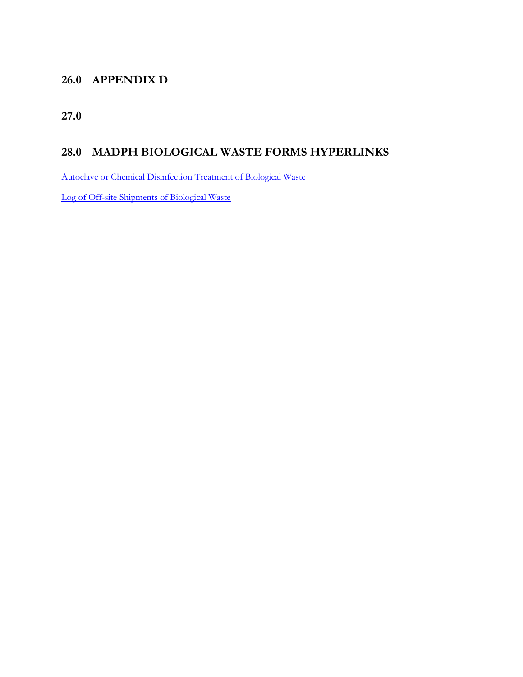# <span id="page-45-0"></span>**26.0 APPENDIX D**

<span id="page-45-1"></span>**27.0**

# **28.0 MADPH BIOLOGICAL WASTE FORMS HYPERLINKS**

[Autoclave or Chemical Disinfection Treatment of Biological Waste](http://www.mass.gov/eohhs/docs/dph/environmental/sanitation/105cmr480-medical-waste-on-site-log.pdf)

[Log of Off-site Shipments of Biological Waste](http://www.mass.gov/eohhs/docs/dph/environmental/sanitation/105cmr480-medical-waste-off-site-log.pdf)